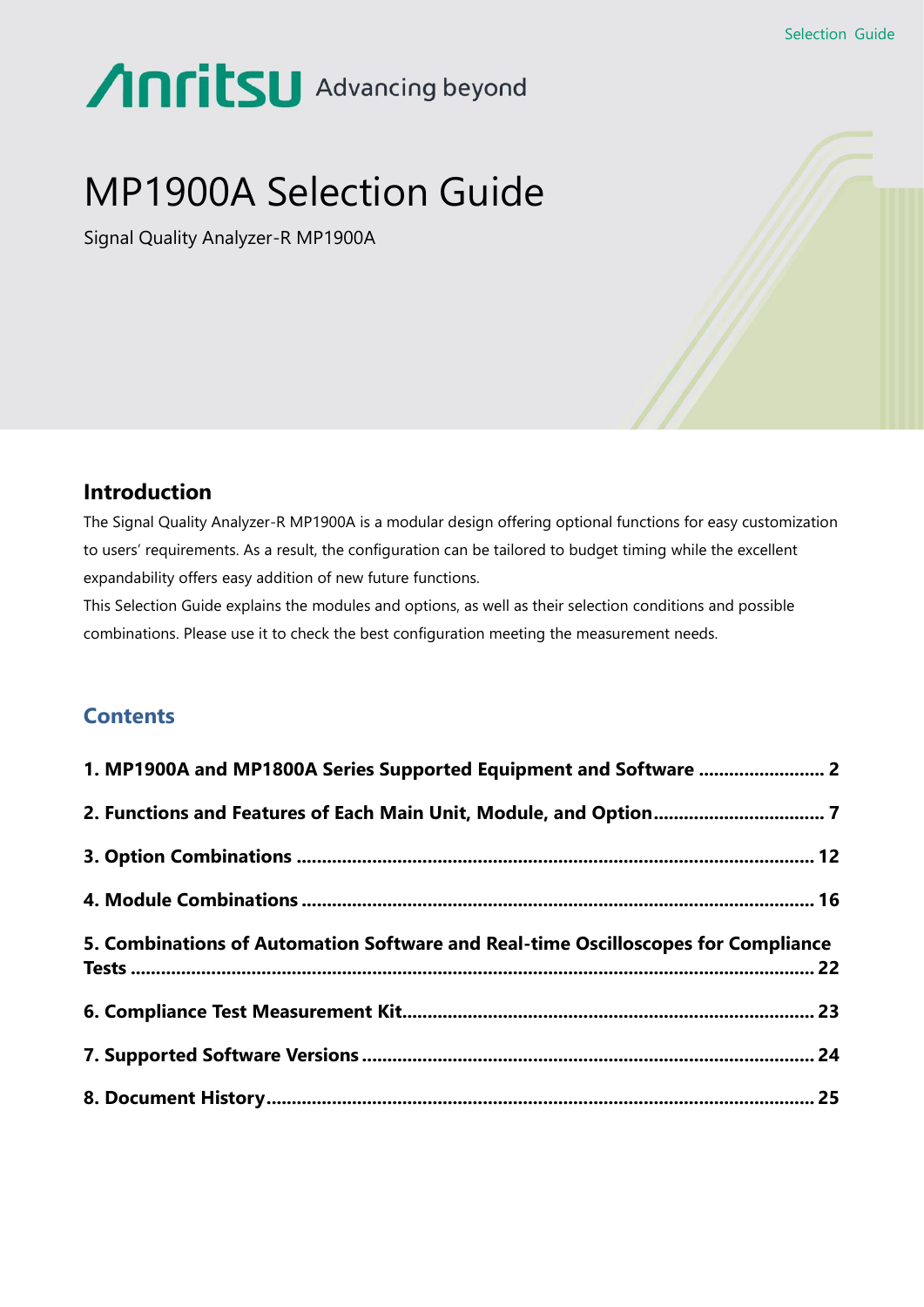# Anritsu Advancing beyond

# MP1900A Selection Guide

Signal Quality Analyzer-R MP1900A



# **Introduction**

The Signal Quality Analyzer-R MP1900A is a modular design offering optional functions for easy customization to users' requirements. As a result, the configuration can be tailored to budget timing while the excellent expandability offers easy addition of new future functions.

This Selection Guide explains the modules and options, as well as their selection conditions and possible combinations. Please use it to check the best configuration meeting the measurement needs.

# **Contents**

| 1. MP1900A and MP1800A Series Supported Equipment and Software  2                 |  |
|-----------------------------------------------------------------------------------|--|
|                                                                                   |  |
|                                                                                   |  |
|                                                                                   |  |
| 5. Combinations of Automation Software and Real-time Oscilloscopes for Compliance |  |
|                                                                                   |  |
|                                                                                   |  |
|                                                                                   |  |
|                                                                                   |  |
|                                                                                   |  |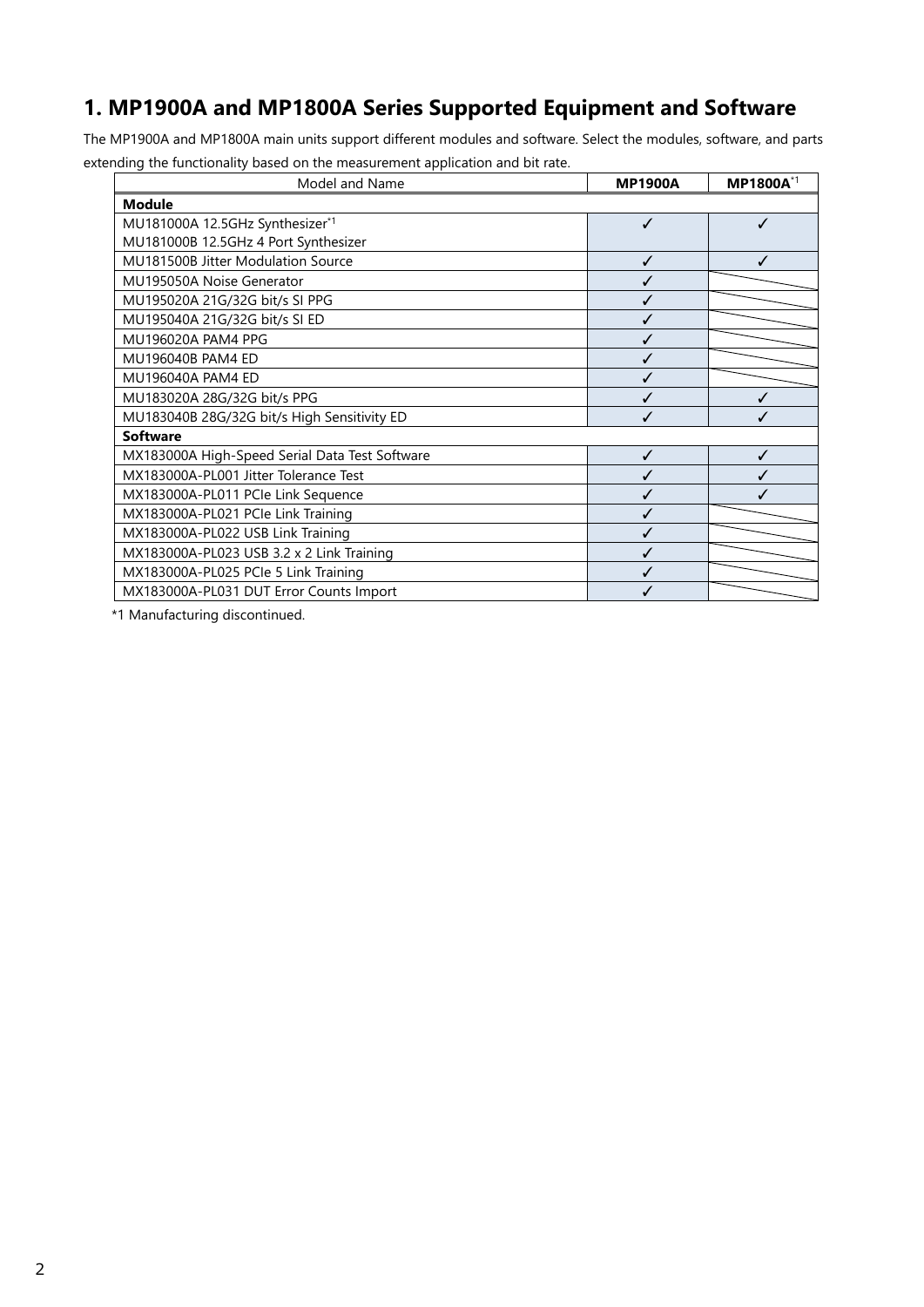# <span id="page-1-0"></span>**1. MP1900A and MP1800A Series Supported Equipment and Software**

The MP1900A and MP1800A main units support different modules and software. Select the modules, software, and parts extending the functionality based on the measurement application and bit rate.

| Model and Name                                 | <b>MP1900A</b> | MP1800A*1 |  |
|------------------------------------------------|----------------|-----------|--|
| <b>Module</b>                                  |                |           |  |
| MU181000A 12.5GHz Synthesizer*1                | ✓              | J         |  |
| MU181000B 12.5GHz 4 Port Synthesizer           |                |           |  |
| MU181500B Jitter Modulation Source             | ✓              |           |  |
| MU195050A Noise Generator                      | ✓              |           |  |
| MU195020A 21G/32G bit/s SI PPG                 | ✓              |           |  |
| MU195040A 21G/32G bit/s SI ED                  | ✓              |           |  |
| MU196020A PAM4 PPG                             | ✓              |           |  |
| MU196040B PAM4 ED                              | ✓              |           |  |
| MU196040A PAM4 ED                              | J              |           |  |
| MU183020A 28G/32G bit/s PPG                    | ✓              |           |  |
| MU183040B 28G/32G bit/s High Sensitivity ED    | ✓              |           |  |
| <b>Software</b>                                |                |           |  |
| MX183000A High-Speed Serial Data Test Software | ✓              |           |  |
| MX183000A-PL001 Jitter Tolerance Test          | ✓              |           |  |
| MX183000A-PL011 PCIe Link Sequence             | ✓              |           |  |
| MX183000A-PL021 PCle Link Training             | ✓              |           |  |
| MX183000A-PL022 USB Link Training              | ℐ              |           |  |
| MX183000A-PL023 USB 3.2 x 2 Link Training      |                |           |  |
| MX183000A-PL025 PCle 5 Link Training           | ✓              |           |  |
| MX183000A-PL031 DUT Error Counts Import        |                |           |  |

\*1 Manufacturing discontinued.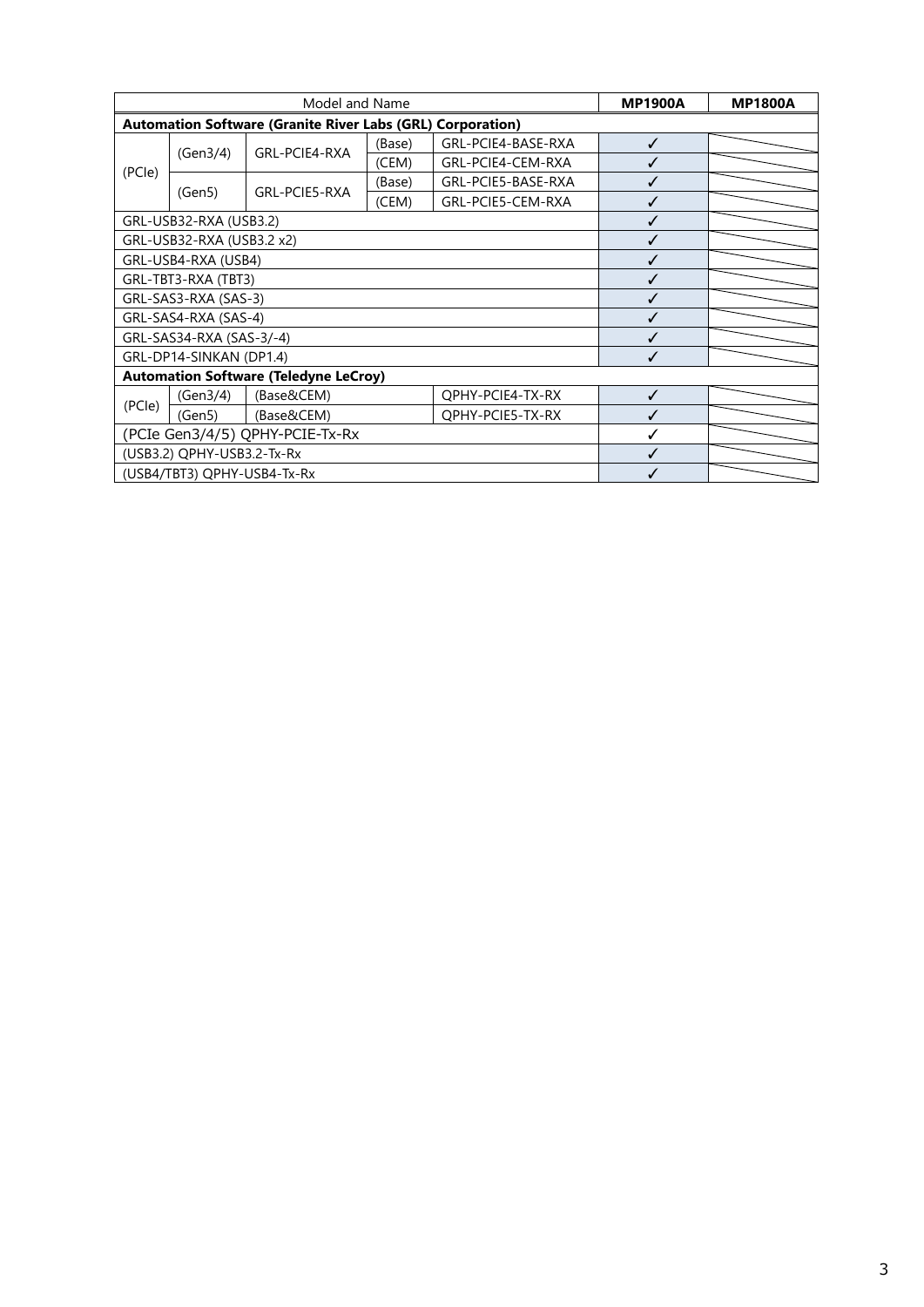|                                            | Model and Name            |                                                                   |        | <b>MP1900A</b>     | <b>MP1800A</b> |  |
|--------------------------------------------|---------------------------|-------------------------------------------------------------------|--------|--------------------|----------------|--|
|                                            |                           | <b>Automation Software (Granite River Labs (GRL) Corporation)</b> |        |                    |                |  |
|                                            |                           | GRL-PCIE4-RXA                                                     | (Base) | GRL-PCIE4-BASE-RXA | ✓              |  |
| (PCIe)                                     | (Gen3/4)                  |                                                                   | (CEM)  | GRL-PCIE4-CEM-RXA  |                |  |
|                                            |                           | GRL-PCIE5-RXA                                                     | (Base) | GRL-PCIE5-BASE-RXA |                |  |
|                                            | (Gen5)                    |                                                                   | (CEM)  | GRL-PCIE5-CEM-RXA  |                |  |
|                                            | GRL-USB32-RXA (USB3.2)    |                                                                   |        |                    | ✓              |  |
|                                            | GRL-USB32-RXA (USB3.2 x2) |                                                                   |        |                    | J              |  |
|                                            | GRL-USB4-RXA (USB4)       |                                                                   |        |                    | ✓              |  |
|                                            | GRL-TBT3-RXA (TBT3)       |                                                                   |        |                    |                |  |
| GRL-SAS3-RXA (SAS-3)                       |                           |                                                                   |        |                    |                |  |
| GRL-SAS4-RXA (SAS-4)                       |                           |                                                                   |        |                    |                |  |
| GRL-SAS34-RXA (SAS-3/-4)                   |                           |                                                                   |        |                    |                |  |
|                                            | GRL-DP14-SINKAN (DP1.4)   |                                                                   |        |                    |                |  |
|                                            |                           | <b>Automation Software (Teledyne LeCroy)</b>                      |        |                    |                |  |
| (Base&CEM)<br>QPHY-PCIE4-TX-RX<br>(Gen3/4) |                           |                                                                   | ✓      |                    |                |  |
| (PCle)                                     | (Gen5)                    | (Base&CEM)                                                        |        | QPHY-PCIE5-TX-RX   |                |  |
| (PCIe Gen3/4/5) QPHY-PCIE-Tx-Rx            |                           |                                                                   |        |                    |                |  |
| (USB3.2) QPHY-USB3.2-Tx-Rx                 |                           |                                                                   |        |                    |                |  |
| (USB4/TBT3) QPHY-USB4-Tx-Rx                |                           |                                                                   |        |                    |                |  |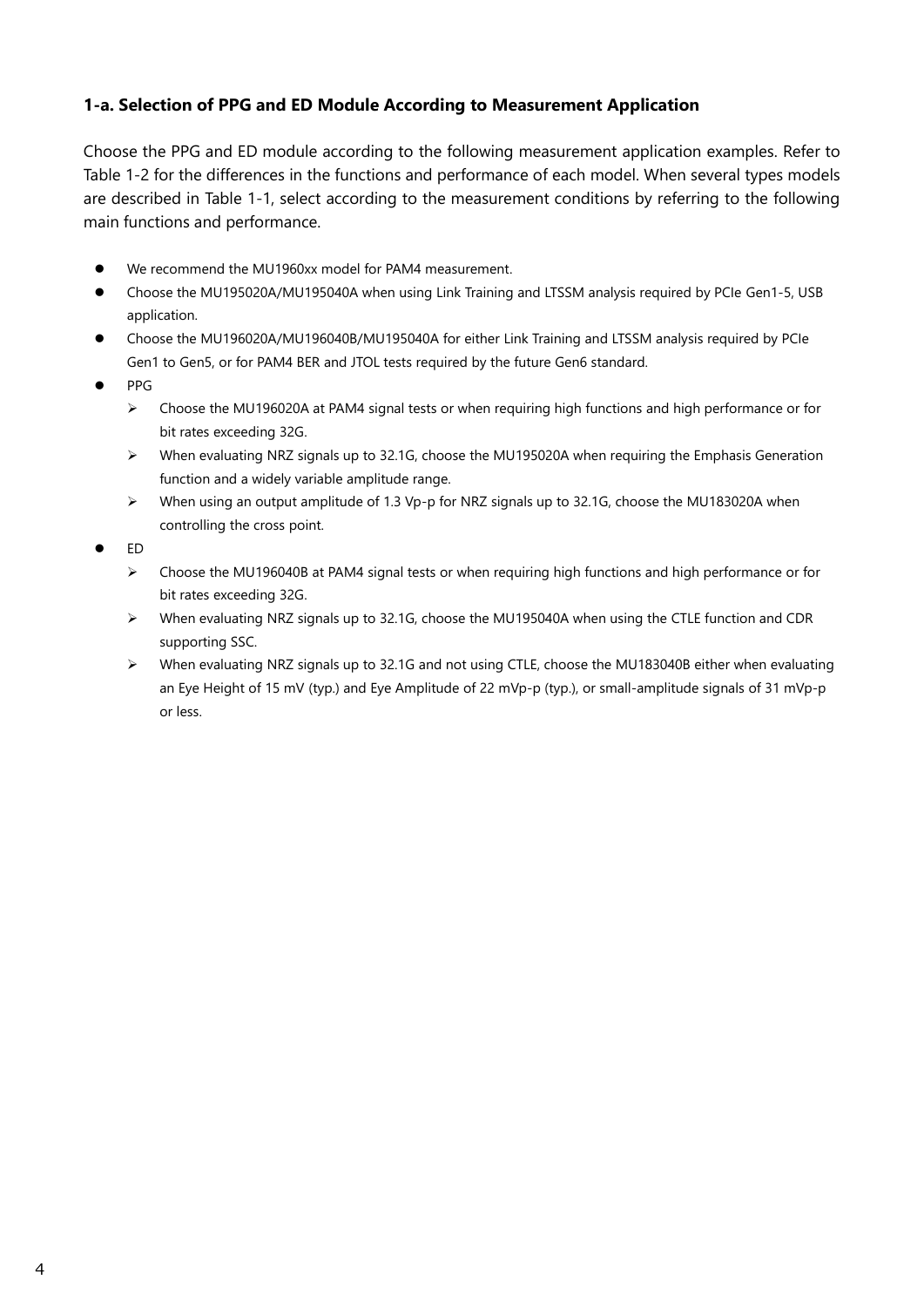# **1-a. Selection of PPG and ED Module According to Measurement Application**

Choose the PPG and ED module according to the following measurement application examples. Refer to Table 1-2 for the differences in the functions and performance of each model. When several types models are described in Table 1-1, select according to the measurement conditions by referring to the following main functions and performance.

- We recommend the MU1960xx model for PAM4 measurement.
- ⚫ Choose the MU195020A/MU195040A when using Link Training and LTSSM analysis required by PCIe Gen1-5, USB application.
- ⚫ Choose the MU196020A/MU196040B/MU195040A for either Link Training and LTSSM analysis required by PCIe Gen1 to Gen5, or for PAM4 BER and JTOL tests required by the future Gen6 standard.
- ⚫ PPG
	- ➢ Choose the MU196020A at PAM4 signal tests or when requiring high functions and high performance or for bit rates exceeding 32G.
	- ➢ When evaluating NRZ signals up to 32.1G, choose the MU195020A when requiring the Emphasis Generation function and a widely variable amplitude range.
	- ➢ When using an output amplitude of 1.3 Vp-p for NRZ signals up to 32.1G, choose the MU183020A when controlling the cross point.
- ⚫ ED
	- ➢ Choose the MU196040B at PAM4 signal tests or when requiring high functions and high performance or for bit rates exceeding 32G.
	- ➢ When evaluating NRZ signals up to 32.1G, choose the MU195040A when using the CTLE function and CDR supporting SSC.
	- ➢ When evaluating NRZ signals up to 32.1G and not using CTLE, choose the MU183040B either when evaluating an Eye Height of 15 mV (typ.) and Eye Amplitude of 22 mVp-p (typ.), or small-amplitude signals of 31 mVp-p or less.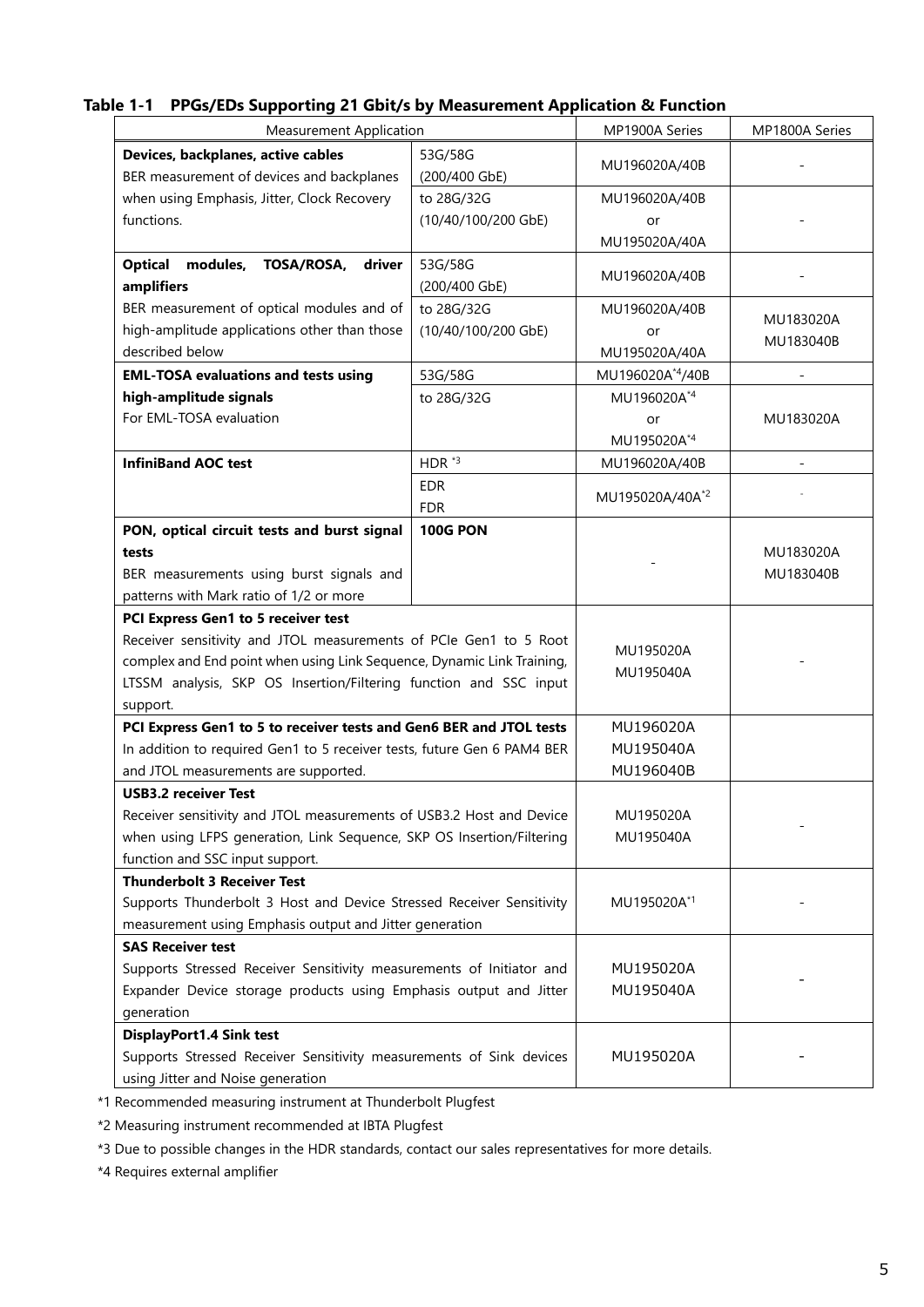| <b>Measurement Application</b>                                                                                                                                                                                                                                      |                                                                | MP1900A Series                       | MP1800A Series         |
|---------------------------------------------------------------------------------------------------------------------------------------------------------------------------------------------------------------------------------------------------------------------|----------------------------------------------------------------|--------------------------------------|------------------------|
| Devices, backplanes, active cables<br>BER measurement of devices and backplanes                                                                                                                                                                                     | 53G/58G<br>(200/400 GbE)                                       | MU196020A/40B                        |                        |
| when using Emphasis, Jitter, Clock Recovery<br>functions.                                                                                                                                                                                                           | to 28G/32G<br>(10/40/100/200 GbE)                              | MU196020A/40B<br>or<br>MU195020A/40A |                        |
| TOSA/ROSA,<br><b>Optical</b><br>modules,<br>driver<br>amplifiers                                                                                                                                                                                                    | 53G/58G<br>(200/400 GbE)                                       | MU196020A/40B                        |                        |
| BER measurement of optical modules and of<br>high-amplitude applications other than those<br>described below                                                                                                                                                        | to 28G/32G<br>(10/40/100/200 GbE)                              | MU196020A/40B<br>or<br>MU195020A/40A | MU183020A<br>MU183040B |
| <b>EML-TOSA evaluations and tests using</b>                                                                                                                                                                                                                         | 53G/58G                                                        | MU196020A*4/40B                      |                        |
| high-amplitude signals<br>For EML-TOSA evaluation                                                                                                                                                                                                                   | to 28G/32G                                                     | MU196020A*4<br>or<br>MU195020A*4     | MU183020A              |
| <b>InfiniBand AOC test</b>                                                                                                                                                                                                                                          | HDR $*3$                                                       | MU196020A/40B                        |                        |
|                                                                                                                                                                                                                                                                     | <b>EDR</b><br><b>FDR</b>                                       | MU195020A/40A <sup>*2</sup>          |                        |
| tests<br>BER measurements using burst signals and<br>patterns with Mark ratio of 1/2 or more                                                                                                                                                                        | PON, optical circuit tests and burst signal<br><b>100G PON</b> |                                      | MU183020A<br>MU183040B |
| PCI Express Gen1 to 5 receiver test<br>Receiver sensitivity and JTOL measurements of PCIe Gen1 to 5 Root<br>complex and End point when using Link Sequence, Dynamic Link Training,<br>LTSSM analysis, SKP OS Insertion/Filtering function and SSC input<br>support. |                                                                | MU195020A<br>MU195040A               |                        |
| PCI Express Gen1 to 5 to receiver tests and Gen6 BER and JTOL tests<br>In addition to required Gen1 to 5 receiver tests, future Gen 6 PAM4 BER<br>and JTOL measurements are supported.                                                                              |                                                                | MU196020A<br>MU195040A<br>MU196040B  |                        |
| <b>USB3.2 receiver Test</b>                                                                                                                                                                                                                                         |                                                                |                                      |                        |
| Receiver sensitivity and JTOL measurements of USB3.2 Host and Device<br>when using LFPS generation, Link Sequence, SKP OS Insertion/Filtering<br>function and SSC input support.                                                                                    |                                                                | MU195020A<br>MU195040A               |                        |
| <b>Thunderbolt 3 Receiver Test</b><br>Supports Thunderbolt 3 Host and Device Stressed Receiver Sensitivity<br>measurement using Emphasis output and Jitter generation                                                                                               |                                                                | MU195020A*1                          |                        |
| <b>SAS Receiver test</b><br>Supports Stressed Receiver Sensitivity measurements of Initiator and<br>Expander Device storage products using Emphasis output and Jitter<br>generation                                                                                 |                                                                | MU195020A<br>MU195040A               |                        |
| DisplayPort1.4 Sink test<br>Supports Stressed Receiver Sensitivity measurements of Sink devices<br>using Jitter and Noise generation                                                                                                                                |                                                                | MU195020A                            |                        |

# **Table 1-1 PPGs/EDs Supporting 21 Gbit/s by Measurement Application & Function**

\*1 Recommended measuring instrument at Thunderbolt Plugfest

\*2 Measuring instrument recommended at IBTA Plugfest

\*3 Due to possible changes in the HDR standards, contact our sales representatives for more details.

\*4 Requires external amplifier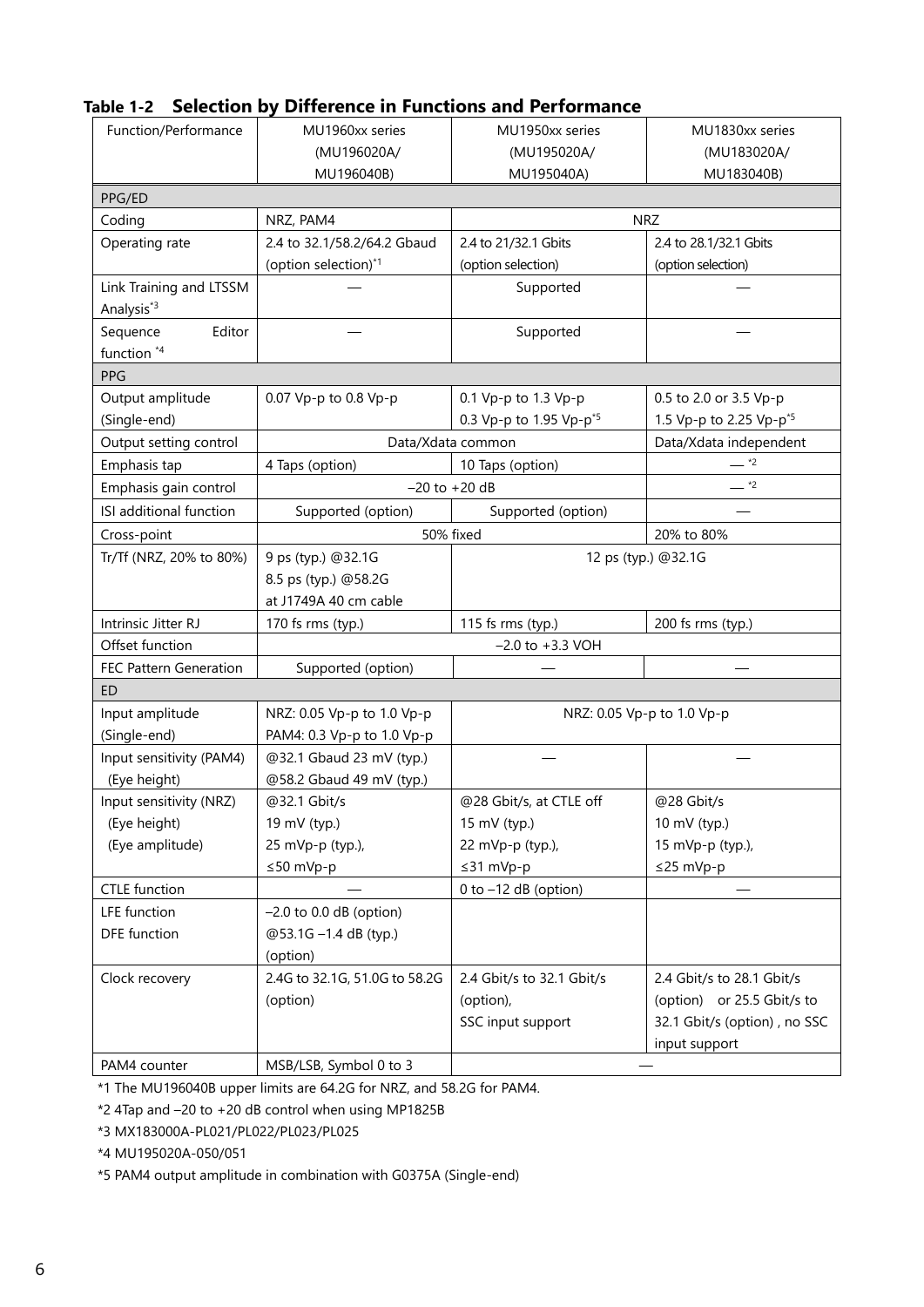| Function/Performance                              | MU1960xx series                           | MU1950xx series                     | MU1830xx series                     |
|---------------------------------------------------|-------------------------------------------|-------------------------------------|-------------------------------------|
|                                                   | (MU196020A/                               | (MU195020A/                         | (MU183020A/                         |
|                                                   | MU196040B)                                | MU195040A)                          | MU183040B)                          |
| PPG/ED                                            |                                           |                                     |                                     |
| Coding                                            | NRZ, PAM4                                 |                                     | <b>NRZ</b>                          |
| Operating rate                                    | 2.4 to 32.1/58.2/64.2 Gbaud               | 2.4 to 21/32.1 Gbits                | 2.4 to 28.1/32.1 Gbits              |
|                                                   | (option selection)*1                      | (option selection)                  | (option selection)                  |
| Link Training and LTSSM<br>Analysis <sup>*3</sup> |                                           | Supported                           |                                     |
| Sequence<br>Editor                                |                                           | Supported                           |                                     |
| function *4                                       |                                           |                                     |                                     |
| PPG                                               |                                           |                                     |                                     |
| Output amplitude                                  | 0.07 Vp-p to 0.8 Vp-p                     | 0.1 Vp-p to 1.3 Vp-p                | 0.5 to 2.0 or 3.5 Vp-p              |
| (Single-end)                                      |                                           | 0.3 Vp-p to 1.95 Vp-p <sup>*5</sup> | 1.5 Vp-p to 2.25 Vp-p <sup>*5</sup> |
| Output setting control                            |                                           | Data/Xdata common                   | Data/Xdata independent              |
| Emphasis tap                                      | 4 Taps (option)                           | 10 Taps (option)                    | $ *2$                               |
| Emphasis gain control                             |                                           | $-20$ to $+20$ dB                   | $ *2$                               |
| ISI additional function                           | Supported (option)                        | Supported (option)                  |                                     |
| Cross-point                                       | 50% fixed                                 |                                     | 20% to 80%                          |
| Tr/Tf (NRZ, 20% to 80%)                           | 9 ps (typ.) @32.1G<br>12 ps (typ.) @32.1G |                                     |                                     |
|                                                   | 8.5 ps (typ.) @58.2G                      |                                     |                                     |
|                                                   | at J1749A 40 cm cable                     |                                     |                                     |
| Intrinsic Jitter RJ                               | 170 fs rms (typ.)                         | 115 fs rms (typ.)                   | 200 fs rms (typ.)                   |
| Offset function                                   | $-2.0$ to $+3.3$ VOH                      |                                     |                                     |
| FEC Pattern Generation                            | Supported (option)                        |                                     |                                     |
| <b>ED</b>                                         |                                           |                                     |                                     |
| Input amplitude                                   | NRZ: 0.05 Vp-p to 1.0 Vp-p                |                                     | NRZ: 0.05 Vp-p to 1.0 Vp-p          |
| (Single-end)                                      | PAM4: 0.3 Vp-p to 1.0 Vp-p                |                                     |                                     |
| Input sensitivity (PAM4)                          | @32.1 Gbaud 23 mV (typ.)                  |                                     |                                     |
| (Eye height)                                      | @58.2 Gbaud 49 mV (typ.)                  |                                     |                                     |
| Input sensitivity (NRZ)                           | @32.1 Gbit/s                              | @28 Gbit/s, at CTLE off             | @28 Gbit/s                          |
| (Eye height)                                      | 19 mV (typ.)                              | 15 mV (typ.)                        | 10 mV (typ.)                        |
| (Eye amplitude)                                   | 25 mVp-p (typ.),                          | 22 mVp-p (typ.),                    | 15 mVp-p (typ.),                    |
|                                                   | ≤50 mVp-p                                 | ≤31 mVp-p                           | ≤25 mVp-p                           |
| <b>CTLE</b> function                              |                                           | $0$ to $-12$ dB (option)            |                                     |
| LFE function                                      | $-2.0$ to 0.0 dB (option)                 |                                     |                                     |
| <b>DFE</b> function                               | @53.1G -1.4 dB (typ.)                     |                                     |                                     |
|                                                   | (option)                                  |                                     |                                     |
| Clock recovery                                    | 2.4G to 32.1G, 51.0G to 58.2G             | 2.4 Gbit/s to 32.1 Gbit/s           | 2.4 Gbit/s to 28.1 Gbit/s           |
|                                                   | (option)                                  | (option),                           | (option) or 25.5 Gbit/s to          |
|                                                   |                                           | SSC input support                   | 32.1 Gbit/s (option), no SSC        |
|                                                   |                                           |                                     | input support                       |
| PAM4 counter                                      | MSB/LSB, Symbol 0 to 3                    |                                     |                                     |

# **Table 1-2 Selection by Difference in Functions and Performance**

\*1 The MU196040B upper limits are 64.2G for NRZ, and 58.2G for PAM4.

\*2 4Tap and –20 to +20 dB control when using MP1825B

\*3 MX183000A-PL021/PL022/PL023/PL025

\*4 MU195020A-050/051

\*5 PAM4 output amplitude in combination with G0375A (Single-end)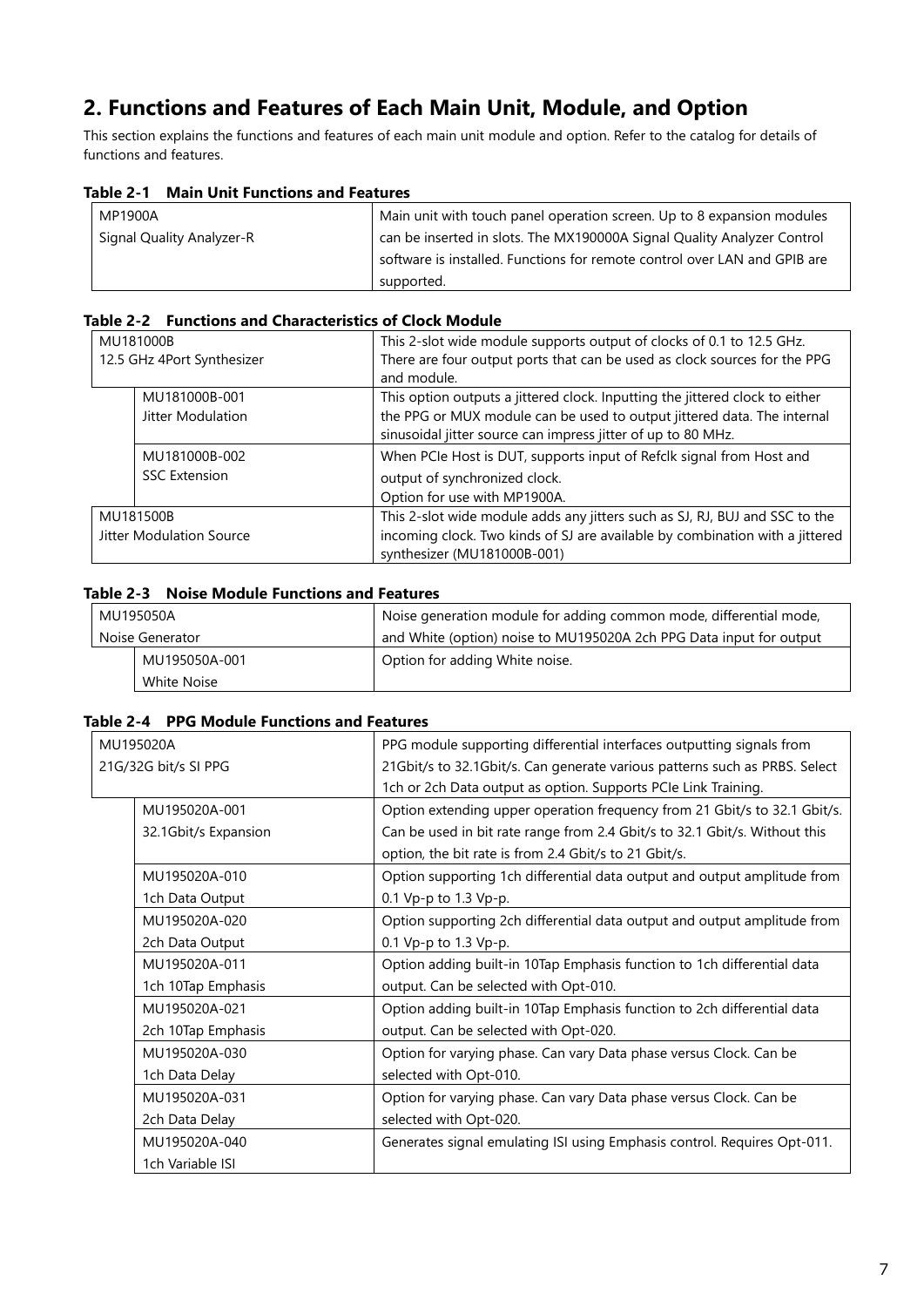# <span id="page-6-0"></span>**2. Functions and Features of Each Main Unit, Module, and Option**

This section explains the functions and features of each main unit module and option. Refer to the catalog for details of functions and features.

### **Table 2-1 Main Unit Functions and Features**

| MP1900A                   | Main unit with touch panel operation screen. Up to 8 expansion modules    |
|---------------------------|---------------------------------------------------------------------------|
| Signal Quality Analyzer-R | can be inserted in slots. The MX190000A Signal Quality Analyzer Control   |
|                           | software is installed. Functions for remote control over LAN and GPIB are |
|                           | supported.                                                                |

#### **Table 2-2 Functions and Characteristics of Clock Module**

| MU181000B                |                            | This 2-slot wide module supports output of clocks of 0.1 to 12.5 GHz.        |
|--------------------------|----------------------------|------------------------------------------------------------------------------|
|                          | 12.5 GHz 4Port Synthesizer | There are four output ports that can be used as clock sources for the PPG    |
|                          |                            | and module.                                                                  |
|                          | MU181000B-001              | This option outputs a jittered clock. Inputting the jittered clock to either |
|                          | Jitter Modulation          | the PPG or MUX module can be used to output jittered data. The internal      |
|                          |                            | sinusoidal jitter source can impress jitter of up to 80 MHz.                 |
|                          | MU181000B-002              | When PCIe Host is DUT, supports input of Refclk signal from Host and         |
|                          | <b>SSC Extension</b>       | output of synchronized clock.                                                |
|                          |                            | Option for use with MP1900A.                                                 |
| MU181500B                |                            | This 2-slot wide module adds any jitters such as SJ, RJ, BUJ and SSC to the  |
| Jitter Modulation Source |                            | incoming clock. Two kinds of SJ are available by combination with a jittered |
|                          |                            | synthesizer (MU181000B-001)                                                  |

## **Table 2-3 Noise Module Functions and Features**

|                 | MU195050A     | Noise generation module for adding common mode, differential mode,  |
|-----------------|---------------|---------------------------------------------------------------------|
| Noise Generator |               | and White (option) noise to MU195020A 2ch PPG Data input for output |
|                 | MU195050A-001 | Option for adding White noise.                                      |
|                 | White Noise   |                                                                     |

### **Table 2-4 PPG Module Functions and Features**

| MU195020A            | PPG module supporting differential interfaces outputting signals from      |
|----------------------|----------------------------------------------------------------------------|
| 21G/32G bit/s SI PPG | 21Gbit/s to 32.1Gbit/s. Can generate various patterns such as PRBS. Select |
|                      | 1ch or 2ch Data output as option. Supports PCIe Link Training.             |
| MU195020A-001        | Option extending upper operation frequency from 21 Gbit/s to 32.1 Gbit/s.  |
| 32.1Gbit/s Expansion | Can be used in bit rate range from 2.4 Gbit/s to 32.1 Gbit/s. Without this |
|                      | option, the bit rate is from 2.4 Gbit/s to 21 Gbit/s.                      |
| MU195020A-010        | Option supporting 1ch differential data output and output amplitude from   |
| 1ch Data Output      | 0.1 Vp-p to 1.3 Vp-p.                                                      |
| MU195020A-020        | Option supporting 2ch differential data output and output amplitude from   |
| 2ch Data Output      | 0.1 Vp-p to 1.3 Vp-p.                                                      |
| MU195020A-011        | Option adding built-in 10Tap Emphasis function to 1ch differential data    |
| 1ch 10Tap Emphasis   | output. Can be selected with Opt-010.                                      |
| MU195020A-021        | Option adding built-in 10Tap Emphasis function to 2ch differential data    |
| 2ch 10Tap Emphasis   | output. Can be selected with Opt-020.                                      |
| MU195020A-030        | Option for varying phase. Can vary Data phase versus Clock. Can be         |
| 1ch Data Delay       | selected with Opt-010.                                                     |
| MU195020A-031        | Option for varying phase. Can vary Data phase versus Clock. Can be         |
| 2ch Data Delay       | selected with Opt-020.                                                     |
| MU195020A-040        | Generates signal emulating ISI using Emphasis control. Requires Opt-011.   |
| 1ch Variable ISI     |                                                                            |
|                      |                                                                            |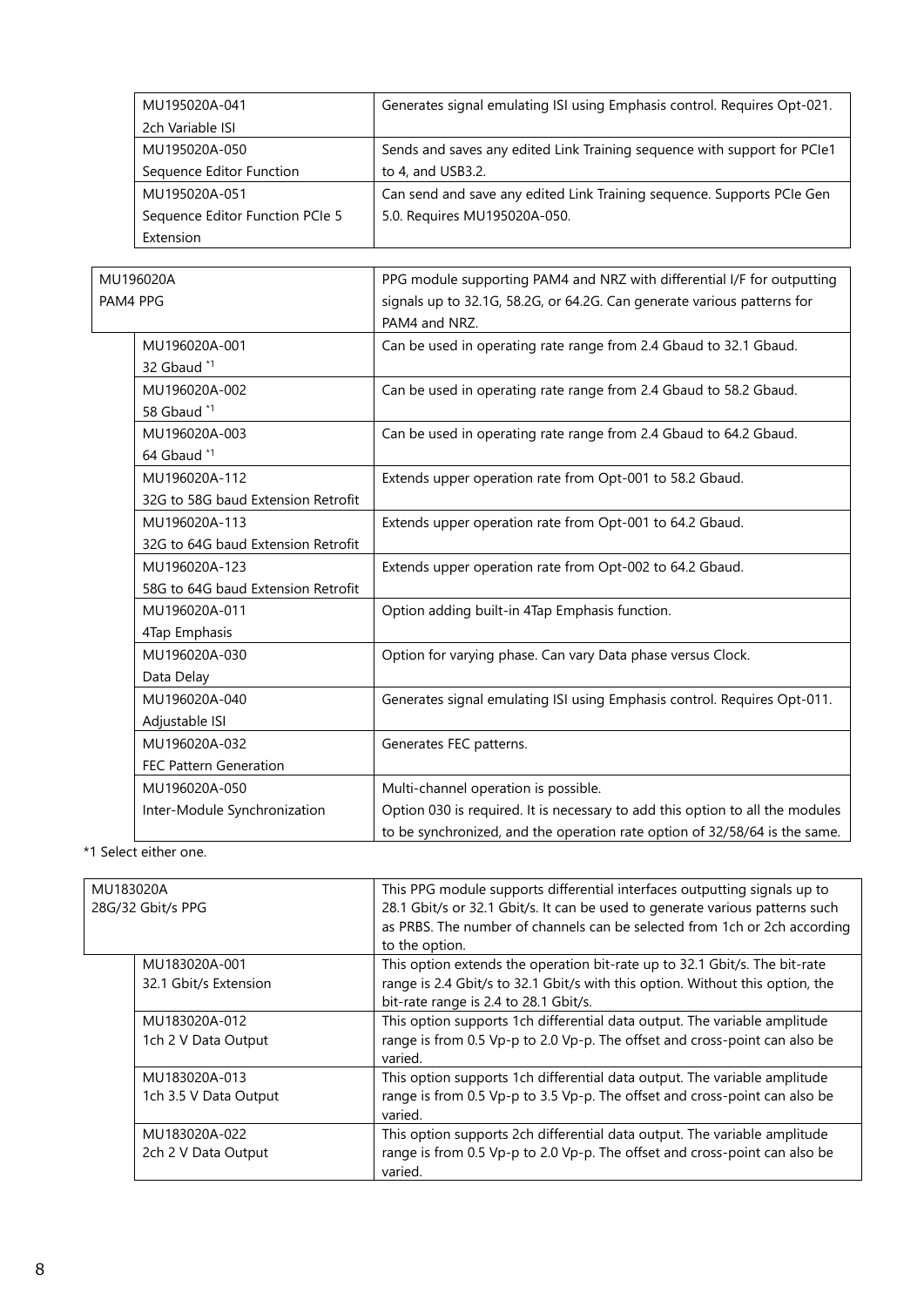| MU195020A-041                   | Generates signal emulating ISI using Emphasis control. Requires Opt-021. |
|---------------------------------|--------------------------------------------------------------------------|
| 2ch Variable ISI                |                                                                          |
| MU195020A-050                   | Sends and saves any edited Link Training sequence with support for PCIe1 |
| Sequence Editor Function        | to 4, and USB3.2.                                                        |
| MU195020A-051                   | Can send and save any edited Link Training sequence. Supports PCIe Gen   |
| Sequence Editor Function PCIe 5 | 5.0. Requires MU195020A-050.                                             |
| Extension                       |                                                                          |

|          | MU196020A                          | PPG module supporting PAM4 and NRZ with differential I/F for outputting       |
|----------|------------------------------------|-------------------------------------------------------------------------------|
| PAM4 PPG |                                    | signals up to 32.1G, 58.2G, or 64.2G. Can generate various patterns for       |
|          |                                    | PAM4 and NRZ.                                                                 |
|          | MU196020A-001                      | Can be used in operating rate range from 2.4 Gbaud to 32.1 Gbaud.             |
|          | 32 Gbaud *1                        |                                                                               |
|          | MU196020A-002                      | Can be used in operating rate range from 2.4 Gbaud to 58.2 Gbaud.             |
|          | 58 Gbaud *1                        |                                                                               |
|          | MU196020A-003                      | Can be used in operating rate range from 2.4 Gbaud to 64.2 Gbaud.             |
|          | 64 Gbaud *1                        |                                                                               |
|          | MU196020A-112                      | Extends upper operation rate from Opt-001 to 58.2 Gbaud.                      |
|          | 32G to 58G baud Extension Retrofit |                                                                               |
|          | MU196020A-113                      | Extends upper operation rate from Opt-001 to 64.2 Gbaud.                      |
|          | 32G to 64G baud Extension Retrofit |                                                                               |
|          | MU196020A-123                      | Extends upper operation rate from Opt-002 to 64.2 Gbaud.                      |
|          | 58G to 64G baud Extension Retrofit |                                                                               |
|          | MU196020A-011                      | Option adding built-in 4Tap Emphasis function.                                |
|          | 4Tap Emphasis                      |                                                                               |
|          | MU196020A-030                      | Option for varying phase. Can vary Data phase versus Clock.                   |
|          | Data Delay                         |                                                                               |
|          | MU196020A-040                      | Generates signal emulating ISI using Emphasis control. Requires Opt-011.      |
|          | Adjustable ISI                     |                                                                               |
|          | MU196020A-032                      | Generates FEC patterns.                                                       |
|          | <b>FEC Pattern Generation</b>      |                                                                               |
|          | MU196020A-050                      | Multi-channel operation is possible.                                          |
|          | Inter-Module Synchronization       | Option 030 is required. It is necessary to add this option to all the modules |
|          |                                    | to be synchronized, and the operation rate option of 32/58/64 is the same.    |

\*1 Select either one.

| MU183020A |                       | This PPG module supports differential interfaces outputting signals up to     |
|-----------|-----------------------|-------------------------------------------------------------------------------|
|           | 28G/32 Gbit/s PPG     | 28.1 Gbit/s or 32.1 Gbit/s. It can be used to generate various patterns such  |
|           |                       | as PRBS. The number of channels can be selected from 1ch or 2ch according     |
|           |                       | to the option.                                                                |
|           | MU183020A-001         | This option extends the operation bit-rate up to 32.1 Gbit/s. The bit-rate    |
|           | 32.1 Gbit/s Extension | range is 2.4 Gbit/s to 32.1 Gbit/s with this option. Without this option, the |
|           |                       | bit-rate range is 2.4 to 28.1 Gbit/s.                                         |
|           | MU183020A-012         | This option supports 1ch differential data output. The variable amplitude     |
|           | 1ch 2 V Data Output   | range is from 0.5 Vp-p to 2.0 Vp-p. The offset and cross-point can also be    |
|           |                       | varied.                                                                       |
|           | MU183020A-013         | This option supports 1ch differential data output. The variable amplitude     |
|           | 1ch 3.5 V Data Output | range is from 0.5 Vp-p to 3.5 Vp-p. The offset and cross-point can also be    |
|           |                       | varied.                                                                       |
|           | MU183020A-022         | This option supports 2ch differential data output. The variable amplitude     |
|           | 2ch 2 V Data Output   | range is from 0.5 Vp-p to 2.0 Vp-p. The offset and cross-point can also be    |
|           |                       | varied.                                                                       |
|           |                       |                                                                               |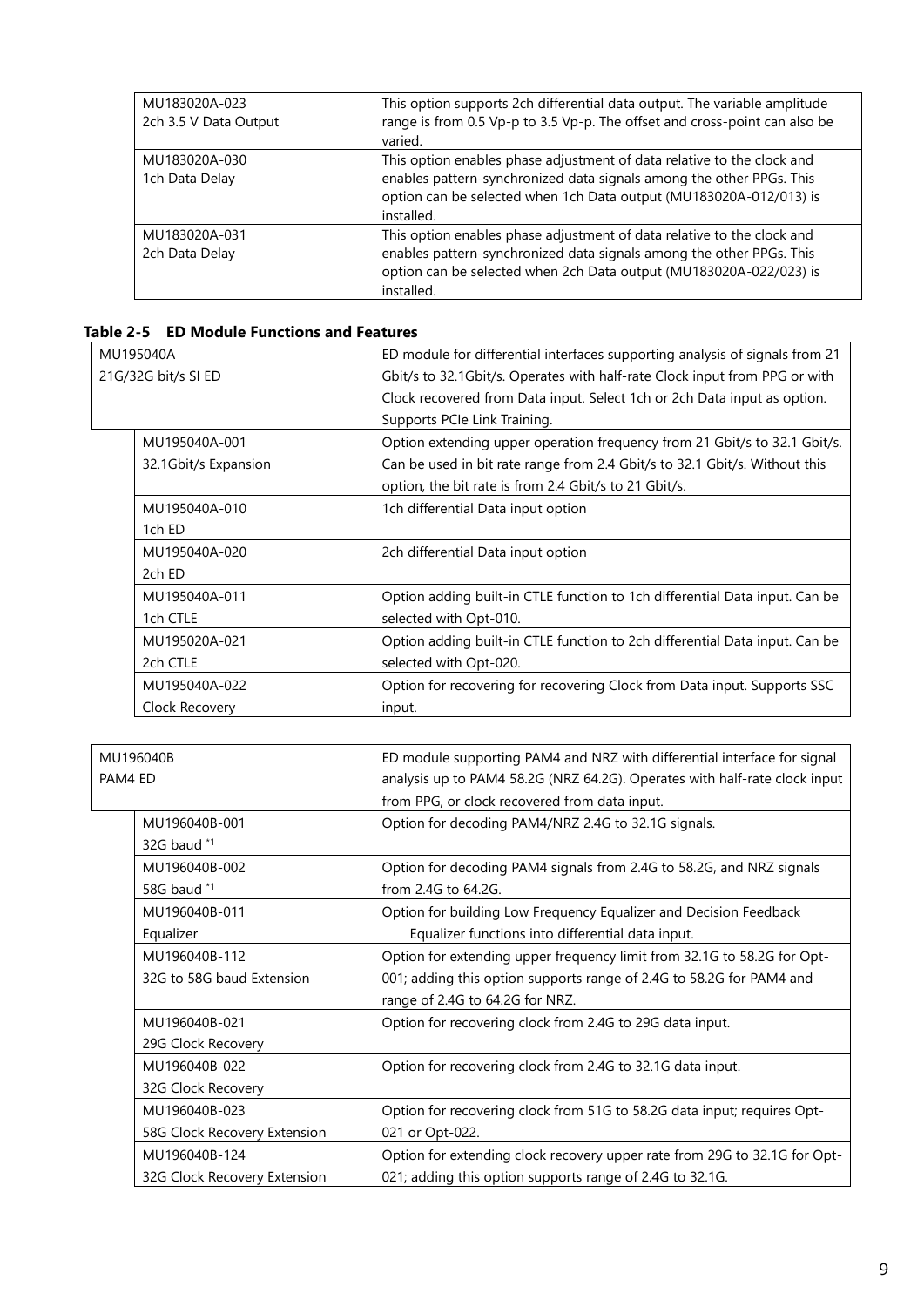| MU183020A-023<br>2ch 3.5 V Data Output | This option supports 2ch differential data output. The variable amplitude<br>range is from 0.5 Vp-p to 3.5 Vp-p. The offset and cross-point can also be<br>varied.                                                                 |
|----------------------------------------|------------------------------------------------------------------------------------------------------------------------------------------------------------------------------------------------------------------------------------|
| MU183020A-030<br>1ch Data Delay        | This option enables phase adjustment of data relative to the clock and<br>enables pattern-synchronized data signals among the other PPGs. This<br>option can be selected when 1ch Data output (MU183020A-012/013) is<br>installed. |
| MU183020A-031<br>2ch Data Delay        | This option enables phase adjustment of data relative to the clock and<br>enables pattern-synchronized data signals among the other PPGs. This<br>option can be selected when 2ch Data output (MU183020A-022/023) is<br>installed. |

# **Table 2-5 ED Module Functions and Features**

| MU195040A<br>21G/32G bit/s SI ED | ED module for differential interfaces supporting analysis of signals from 21<br>Gbit/s to 32.1Gbit/s. Operates with half-rate Clock input from PPG or with<br>Clock recovered from Data input. Select 1ch or 2ch Data input as option. |  |  |
|----------------------------------|----------------------------------------------------------------------------------------------------------------------------------------------------------------------------------------------------------------------------------------|--|--|
|                                  | Supports PCIe Link Training.                                                                                                                                                                                                           |  |  |
| MU195040A-001                    | Option extending upper operation frequency from 21 Gbit/s to 32.1 Gbit/s.                                                                                                                                                              |  |  |
| 32.1Gbit/s Expansion             | Can be used in bit rate range from 2.4 Gbit/s to 32.1 Gbit/s. Without this                                                                                                                                                             |  |  |
|                                  | option, the bit rate is from 2.4 Gbit/s to 21 Gbit/s.                                                                                                                                                                                  |  |  |
| MU195040A-010                    | 1ch differential Data input option                                                                                                                                                                                                     |  |  |
| 1ch ED                           |                                                                                                                                                                                                                                        |  |  |
| MU195040A-020                    | 2ch differential Data input option                                                                                                                                                                                                     |  |  |
| 2ch ED                           |                                                                                                                                                                                                                                        |  |  |
| MU195040A-011                    | Option adding built-in CTLE function to 1ch differential Data input. Can be                                                                                                                                                            |  |  |
| 1ch CTLE                         | selected with Opt-010.                                                                                                                                                                                                                 |  |  |
| MU195020A-021                    | Option adding built-in CTLE function to 2ch differential Data input. Can be                                                                                                                                                            |  |  |
| 2ch CTLE                         | selected with Opt-020.                                                                                                                                                                                                                 |  |  |
| MU195040A-022                    | Option for recovering for recovering Clock from Data input. Supports SSC                                                                                                                                                               |  |  |
| Clock Recovery                   | input.                                                                                                                                                                                                                                 |  |  |

| MU196040B                    | ED module supporting PAM4 and NRZ with differential interface for signal   |  |  |
|------------------------------|----------------------------------------------------------------------------|--|--|
| PAM4 ED                      | analysis up to PAM4 58.2G (NRZ 64.2G). Operates with half-rate clock input |  |  |
|                              | from PPG, or clock recovered from data input.                              |  |  |
| MU196040B-001                | Option for decoding PAM4/NRZ 2.4G to 32.1G signals.                        |  |  |
| 32G baud $*1$                |                                                                            |  |  |
| MU196040B-002                | Option for decoding PAM4 signals from 2.4G to 58.2G, and NRZ signals       |  |  |
| 58G baud *1                  | from 2.4G to 64.2G.                                                        |  |  |
| MU196040B-011                | Option for building Low Frequency Equalizer and Decision Feedback          |  |  |
| Equalizer                    | Equalizer functions into differential data input.                          |  |  |
| MU196040B-112                | Option for extending upper frequency limit from 32.1G to 58.2G for Opt-    |  |  |
| 32G to 58G baud Extension    | 001; adding this option supports range of 2.4G to 58.2G for PAM4 and       |  |  |
|                              | range of 2.4G to 64.2G for NRZ.                                            |  |  |
| MU196040B-021                | Option for recovering clock from 2.4G to 29G data input.                   |  |  |
| 29G Clock Recovery           |                                                                            |  |  |
| MU196040B-022                | Option for recovering clock from 2.4G to 32.1G data input.                 |  |  |
| 32G Clock Recovery           |                                                                            |  |  |
| MU196040B-023                | Option for recovering clock from 51G to 58.2G data input; requires Opt-    |  |  |
| 58G Clock Recovery Extension | 021 or Opt-022.                                                            |  |  |
| MU196040B-124                | Option for extending clock recovery upper rate from 29G to 32.1G for Opt-  |  |  |
| 32G Clock Recovery Extension | 021; adding this option supports range of 2.4G to 32.1G.                   |  |  |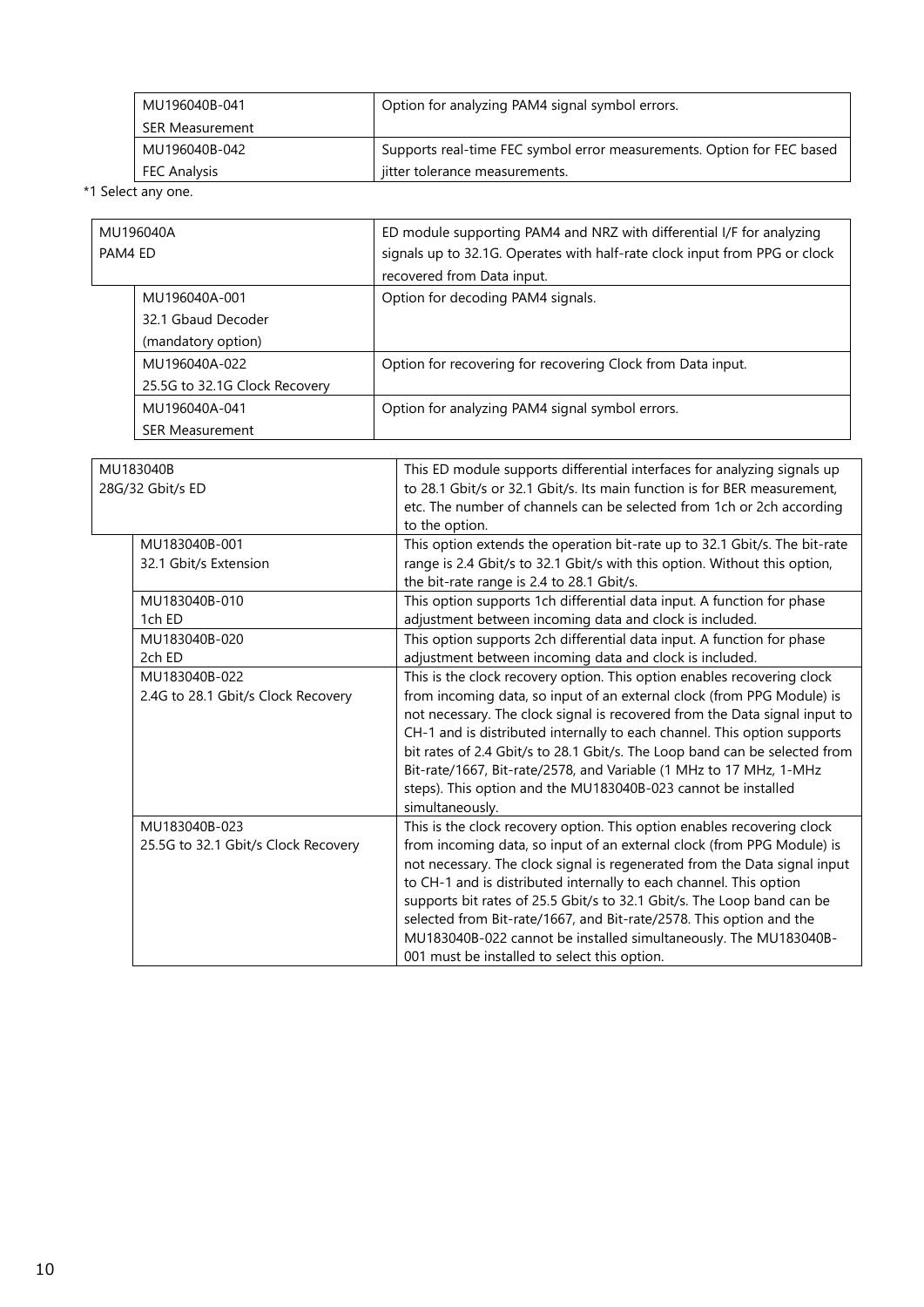| MU196040B-041       | Option for analyzing PAM4 signal symbol errors.                        |
|---------------------|------------------------------------------------------------------------|
| SER Measurement     |                                                                        |
| MU196040B-042       | Supports real-time FEC symbol error measurements. Option for FEC based |
| <b>FEC Analysis</b> | jitter tolerance measurements.                                         |

\*1 Select any one.

| MU196040A |                               | ED module supporting PAM4 and NRZ with differential I/F for analyzing      |  |  |  |
|-----------|-------------------------------|----------------------------------------------------------------------------|--|--|--|
| PAM4 ED   |                               | signals up to 32.1G. Operates with half-rate clock input from PPG or clock |  |  |  |
|           |                               | recovered from Data input.                                                 |  |  |  |
|           | MU196040A-001                 | Option for decoding PAM4 signals.                                          |  |  |  |
|           | 32.1 Gbaud Decoder            |                                                                            |  |  |  |
|           | (mandatory option)            |                                                                            |  |  |  |
|           | MU196040A-022                 | Option for recovering for recovering Clock from Data input.                |  |  |  |
|           | 25.5G to 32.1G Clock Recovery |                                                                            |  |  |  |
|           | MU196040A-041                 | Option for analyzing PAM4 signal symbol errors.                            |  |  |  |
|           | <b>SER Measurement</b>        |                                                                            |  |  |  |

| MU183040B<br>28G/32 Gbit/s ED |                                     | This ED module supports differential interfaces for analyzing signals up<br>to 28.1 Gbit/s or 32.1 Gbit/s. Its main function is for BER measurement, |  |  |  |
|-------------------------------|-------------------------------------|------------------------------------------------------------------------------------------------------------------------------------------------------|--|--|--|
|                               |                                     | etc. The number of channels can be selected from 1ch or 2ch according                                                                                |  |  |  |
|                               |                                     | to the option.                                                                                                                                       |  |  |  |
|                               | MU183040B-001                       | This option extends the operation bit-rate up to 32.1 Gbit/s. The bit-rate                                                                           |  |  |  |
|                               | 32.1 Gbit/s Extension               | range is 2.4 Gbit/s to 32.1 Gbit/s with this option. Without this option,                                                                            |  |  |  |
|                               |                                     | the bit-rate range is 2.4 to 28.1 Gbit/s.                                                                                                            |  |  |  |
|                               | MU183040B-010                       | This option supports 1ch differential data input. A function for phase                                                                               |  |  |  |
|                               | 1ch ED                              | adjustment between incoming data and clock is included.                                                                                              |  |  |  |
|                               | MU183040B-020                       | This option supports 2ch differential data input. A function for phase                                                                               |  |  |  |
|                               | 2ch ED                              | adjustment between incoming data and clock is included.                                                                                              |  |  |  |
|                               | MU183040B-022                       | This is the clock recovery option. This option enables recovering clock                                                                              |  |  |  |
|                               | 2.4G to 28.1 Gbit/s Clock Recovery  | from incoming data, so input of an external clock (from PPG Module) is                                                                               |  |  |  |
|                               |                                     | not necessary. The clock signal is recovered from the Data signal input to                                                                           |  |  |  |
|                               |                                     | CH-1 and is distributed internally to each channel. This option supports                                                                             |  |  |  |
|                               |                                     | bit rates of 2.4 Gbit/s to 28.1 Gbit/s. The Loop band can be selected from                                                                           |  |  |  |
|                               |                                     | Bit-rate/1667, Bit-rate/2578, and Variable (1 MHz to 17 MHz, 1-MHz                                                                                   |  |  |  |
|                               |                                     | steps). This option and the MU183040B-023 cannot be installed                                                                                        |  |  |  |
|                               |                                     | simultaneously.                                                                                                                                      |  |  |  |
|                               | MU183040B-023                       | This is the clock recovery option. This option enables recovering clock                                                                              |  |  |  |
|                               | 25.5G to 32.1 Gbit/s Clock Recovery | from incoming data, so input of an external clock (from PPG Module) is                                                                               |  |  |  |
|                               |                                     | not necessary. The clock signal is regenerated from the Data signal input                                                                            |  |  |  |
|                               |                                     | to CH-1 and is distributed internally to each channel. This option                                                                                   |  |  |  |
|                               |                                     | supports bit rates of 25.5 Gbit/s to 32.1 Gbit/s. The Loop band can be                                                                               |  |  |  |
|                               |                                     | selected from Bit-rate/1667, and Bit-rate/2578. This option and the                                                                                  |  |  |  |
|                               |                                     | MU183040B-022 cannot be installed simultaneously. The MU183040B-                                                                                     |  |  |  |
|                               |                                     | 001 must be installed to select this option.                                                                                                         |  |  |  |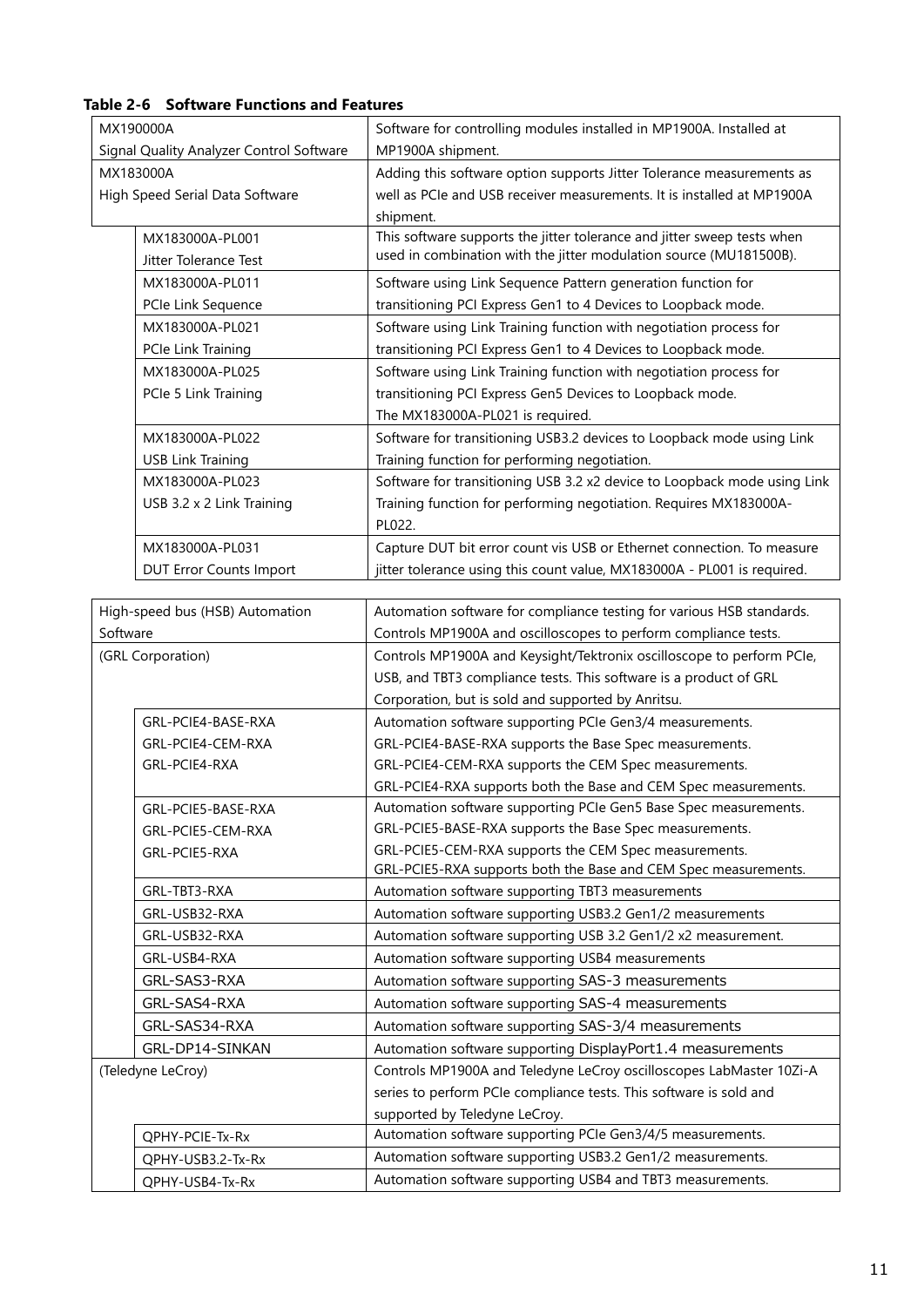| MX190000A |                                          | Software for controlling modules installed in MP1900A. Installed at                                                        |  |  |  |
|-----------|------------------------------------------|----------------------------------------------------------------------------------------------------------------------------|--|--|--|
|           | Signal Quality Analyzer Control Software | MP1900A shipment.                                                                                                          |  |  |  |
|           | MX183000A                                | Adding this software option supports Jitter Tolerance measurements as                                                      |  |  |  |
|           | High Speed Serial Data Software          | well as PCIe and USB receiver measurements. It is installed at MP1900A                                                     |  |  |  |
|           |                                          | shipment.                                                                                                                  |  |  |  |
|           | MX183000A-PL001                          | This software supports the jitter tolerance and jitter sweep tests when                                                    |  |  |  |
|           | Jitter Tolerance Test                    | used in combination with the jitter modulation source (MU181500B).                                                         |  |  |  |
|           | MX183000A-PL011                          | Software using Link Sequence Pattern generation function for                                                               |  |  |  |
|           | PCIe Link Sequence                       | transitioning PCI Express Gen1 to 4 Devices to Loopback mode.                                                              |  |  |  |
|           | MX183000A-PL021                          | Software using Link Training function with negotiation process for                                                         |  |  |  |
|           | PCIe Link Training                       | transitioning PCI Express Gen1 to 4 Devices to Loopback mode.                                                              |  |  |  |
|           | MX183000A-PL025                          | Software using Link Training function with negotiation process for                                                         |  |  |  |
|           | PCIe 5 Link Training                     | transitioning PCI Express Gen5 Devices to Loopback mode.                                                                   |  |  |  |
|           |                                          | The MX183000A-PL021 is required.                                                                                           |  |  |  |
|           | MX183000A-PL022                          | Software for transitioning USB3.2 devices to Loopback mode using Link                                                      |  |  |  |
|           | <b>USB Link Training</b>                 | Training function for performing negotiation.                                                                              |  |  |  |
|           | MX183000A-PL023                          | Software for transitioning USB 3.2 x2 device to Loopback mode using Link                                                   |  |  |  |
|           | USB 3.2 x 2 Link Training                | Training function for performing negotiation. Requires MX183000A-                                                          |  |  |  |
|           |                                          | PL022.                                                                                                                     |  |  |  |
|           | MX183000A-PL031                          | Capture DUT bit error count vis USB or Ethernet connection. To measure                                                     |  |  |  |
|           | <b>DUT Error Counts Import</b>           | jitter tolerance using this count value, MX183000A - PL001 is required.                                                    |  |  |  |
|           |                                          |                                                                                                                            |  |  |  |
|           | High-speed bus (HSB) Automation          | Automation software for compliance testing for various HSB standards.                                                      |  |  |  |
|           | Software                                 | Controls MP1900A and oscilloscopes to perform compliance tests.                                                            |  |  |  |
|           | (GRL Corporation)                        | Controls MP1900A and Keysight/Tektronix oscilloscope to perform PCIe,                                                      |  |  |  |
|           |                                          | USB, and TBT3 compliance tests. This software is a product of GRL                                                          |  |  |  |
|           |                                          | Corporation, but is sold and supported by Anritsu.                                                                         |  |  |  |
|           | GRL-PCIE4-BASE-RXA                       | Automation software supporting PCIe Gen3/4 measurements.                                                                   |  |  |  |
|           | GRL-PCIE4-CEM-RXA                        | GRL-PCIE4-BASE-RXA supports the Base Spec measurements.                                                                    |  |  |  |
|           | GRL-PCIE4-RXA                            | GRL-PCIE4-CEM-RXA supports the CEM Spec measurements.                                                                      |  |  |  |
|           |                                          | GRL-PCIE4-RXA supports both the Base and CEM Spec measurements.                                                            |  |  |  |
|           | GRL-PCIE5-BASE-RXA                       | Automation software supporting PCIe Gen5 Base Spec measurements.                                                           |  |  |  |
|           | GRL-PCIE5-CEM-RXA                        | GRL-PCIE5-BASE-RXA supports the Base Spec measurements.                                                                    |  |  |  |
|           | GRL-PCIE5-RXA                            | GRL-PCIE5-CEM-RXA supports the CEM Spec measurements.                                                                      |  |  |  |
|           |                                          | GRL-PCIE5-RXA supports both the Base and CEM Spec measurements.                                                            |  |  |  |
|           | GRL-TBT3-RXA                             | Automation software supporting TBT3 measurements                                                                           |  |  |  |
|           | GRL-USB32-RXA                            | Automation software supporting USB3.2 Gen1/2 measurements<br>Automation software supporting USB 3.2 Gen1/2 x2 measurement. |  |  |  |
|           | GRL-USB32-RXA                            |                                                                                                                            |  |  |  |
|           | GRL-USB4-RXA                             | Automation software supporting USB4 measurements                                                                           |  |  |  |
|           | GRL-SAS3-RXA                             | Automation software supporting SAS-3 measurements                                                                          |  |  |  |
|           | GRL-SAS4-RXA                             | Automation software supporting SAS-4 measurements                                                                          |  |  |  |
|           | GRL-SAS34-RXA                            | Automation software supporting SAS-3/4 measurements                                                                        |  |  |  |
|           | GRL-DP14-SINKAN                          | Automation software supporting DisplayPort1.4 measurements                                                                 |  |  |  |

(Teledyne LeCroy) Controls MP1900A and Teledyne LeCroy oscilloscopes LabMaster 10Zi-A

supported by Teledyne LeCroy. QPHY-PCIE-Tx-Rx Automation software supporting PCIe Gen3/4/5 measurements. QPHY-USB3.2-Tx-Rx Automation software supporting USB3.2 Gen1/2 measurements. QPHY-USB4-Tx-Rx Automation software supporting USB4 and TBT3 measurements.

series to perform PCIe compliance tests. This software is sold and

**Table 2-6 Software Functions and Features**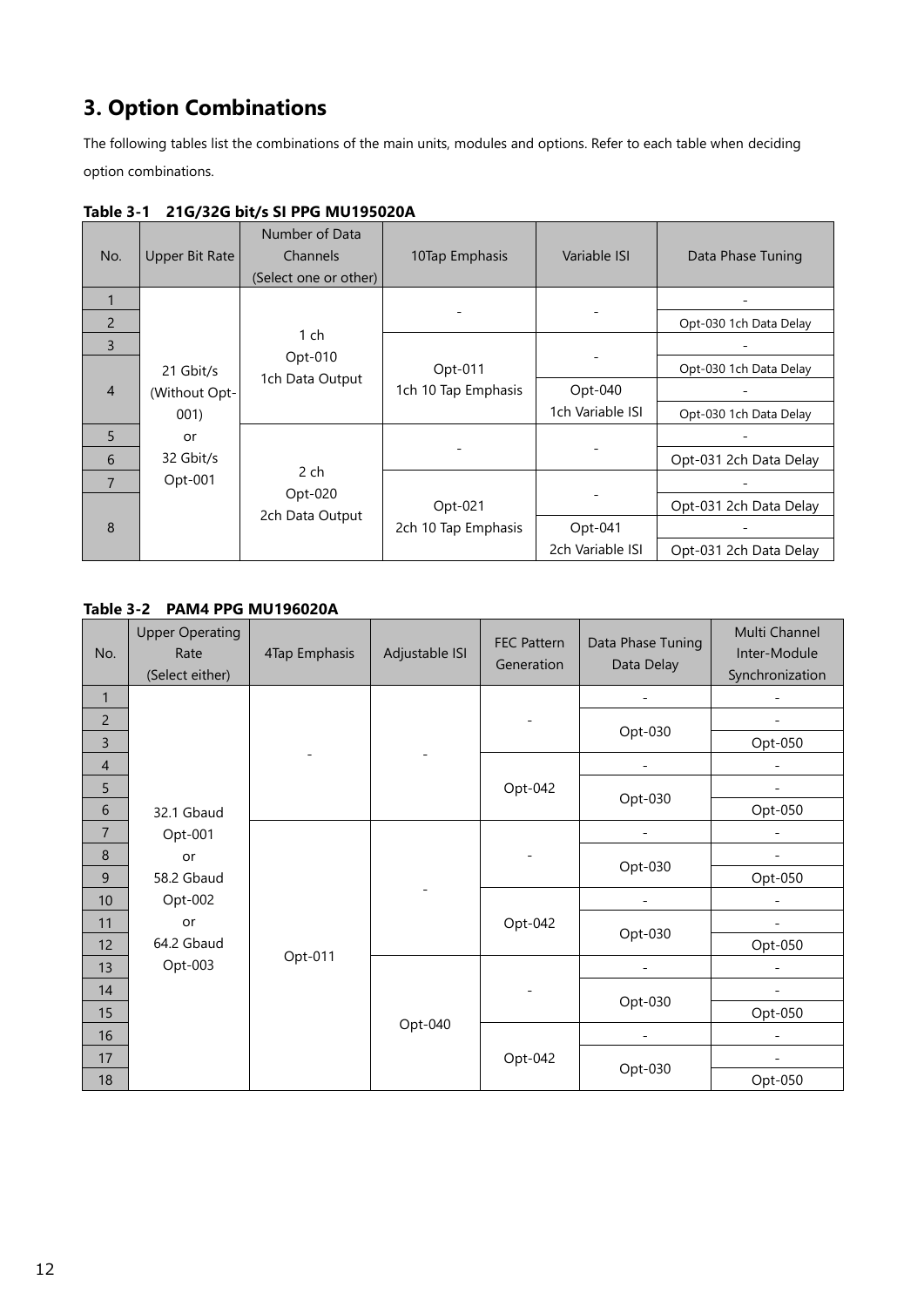# <span id="page-11-0"></span>**3. Option Combinations**

The following tables list the combinations of the main units, modules and options. Refer to each table when deciding option combinations.

| No.            | Upper Bit Rate | Number of Data<br>Channels<br>(Select one or other) | 10Tap Emphasis      | Variable ISI     | Data Phase Tuning      |
|----------------|----------------|-----------------------------------------------------|---------------------|------------------|------------------------|
|                |                |                                                     |                     |                  |                        |
| $\overline{2}$ |                |                                                     |                     |                  | Opt-030 1ch Data Delay |
| $\overline{3}$ |                | $1$ ch                                              |                     |                  |                        |
|                | 21 Gbit/s      | Opt-010                                             | Opt-011             |                  | Opt-030 1ch Data Delay |
| $\overline{4}$ | (Without Opt-  | 1ch Data Output                                     | 1ch 10 Tap Emphasis | Opt-040          |                        |
|                | 001)           |                                                     |                     | 1ch Variable ISI | Opt-030 1ch Data Delay |
| $\overline{5}$ | or             |                                                     |                     |                  |                        |
| 6              | 32 Gbit/s      |                                                     |                     |                  | Opt-031 2ch Data Delay |
| $\overline{7}$ | $Opt-001$      | 2 ch                                                |                     |                  |                        |
|                |                | Opt-020<br>2ch Data Output                          | Opt-021             |                  | Opt-031 2ch Data Delay |
| 8              |                |                                                     | 2ch 10 Tap Emphasis | $Opt-041$        |                        |
|                |                |                                                     |                     | 2ch Variable ISI | Opt-031 2ch Data Delay |

# **Table 3-1 21G/32G bit/s SI PPG MU195020A**

## **Table 3-2 PAM4 PPG MU196020A**

| No.            | <b>Upper Operating</b><br>Rate<br>(Select either) | 4Tap Emphasis | Adjustable ISI | <b>FEC Pattern</b><br>Generation | Data Phase Tuning<br>Data Delay | Multi Channel<br>Inter-Module<br>Synchronization |
|----------------|---------------------------------------------------|---------------|----------------|----------------------------------|---------------------------------|--------------------------------------------------|
| $\mathbf{1}$   |                                                   |               |                |                                  |                                 | $\overline{\phantom{a}}$                         |
| $\overline{c}$ |                                                   |               |                |                                  |                                 |                                                  |
| 3              |                                                   |               |                |                                  | Opt-030                         | Opt-050                                          |
| $\overline{4}$ |                                                   |               |                |                                  |                                 |                                                  |
| 5              |                                                   |               |                | Opt-042                          |                                 |                                                  |
| $\sqrt{6}$     | 32.1 Gbaud                                        |               |                |                                  | Opt-030                         | Opt-050                                          |
| $\overline{7}$ | Opt-001                                           |               |                |                                  |                                 |                                                  |
| 8              | or                                                |               |                |                                  |                                 |                                                  |
| $9$            | 58.2 Gbaud                                        |               |                |                                  | Opt-030                         | Opt-050                                          |
| 10             | Opt-002                                           |               |                |                                  |                                 | $\overline{\phantom{0}}$                         |
| 11             | or                                                |               |                | Opt-042                          | Opt-030                         |                                                  |
| 12             | 64.2 Gbaud                                        |               |                |                                  |                                 | Opt-050                                          |
| 13             | Opt-003                                           | Opt-011       |                |                                  |                                 |                                                  |
| 14             |                                                   |               |                |                                  |                                 |                                                  |
| 15             |                                                   |               |                |                                  | Opt-030                         | Opt-050                                          |
| 16             |                                                   |               | Opt-040        |                                  |                                 |                                                  |
| 17             |                                                   |               |                | Opt-042                          |                                 |                                                  |
| 18             |                                                   |               |                |                                  | Opt-030                         | Opt-050                                          |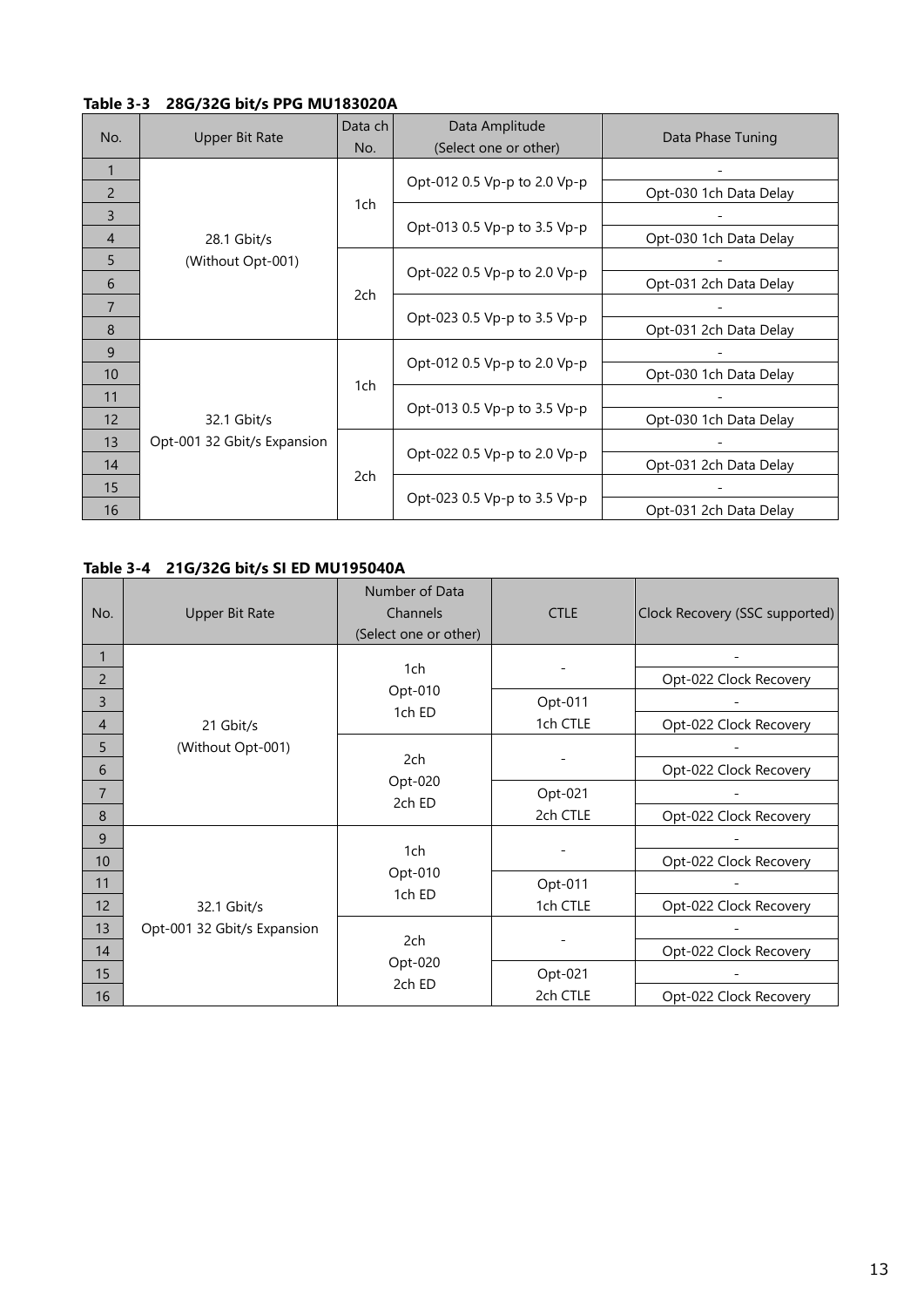## **Table 3-3 28G/32G bit/s PPG MU183020A**

| No.            | Upper Bit Rate              | Data ch<br>No. | Data Amplitude<br>(Select one or other) | Data Phase Tuning      |
|----------------|-----------------------------|----------------|-----------------------------------------|------------------------|
| 1              |                             |                |                                         |                        |
| 2              |                             |                | Opt-012 0.5 Vp-p to 2.0 Vp-p            | Opt-030 1ch Data Delay |
| 3              |                             | 1ch            |                                         |                        |
| $\overline{4}$ | 28.1 Gbit/s                 |                | Opt-013 0.5 Vp-p to 3.5 Vp-p            | Opt-030 1ch Data Delay |
| 5              | (Without Opt-001)           |                |                                         |                        |
| 6              |                             | 2ch            | Opt-022 0.5 Vp-p to 2.0 Vp-p            | Opt-031 2ch Data Delay |
| $\overline{7}$ |                             |                | Opt-023 0.5 Vp-p to 3.5 Vp-p            |                        |
| 8              |                             |                |                                         | Opt-031 2ch Data Delay |
| 9              |                             | 1ch            | Opt-012 0.5 Vp-p to 2.0 Vp-p            |                        |
| 10             |                             |                |                                         | Opt-030 1ch Data Delay |
| 11             |                             |                | Opt-013 0.5 Vp-p to 3.5 Vp-p            |                        |
| 12             | 32.1 Gbit/s                 |                |                                         | Opt-030 1ch Data Delay |
| 13             | Opt-001 32 Gbit/s Expansion |                | Opt-022 0.5 Vp-p to 2.0 Vp-p            |                        |
| 14             |                             | 2ch            |                                         | Opt-031 2ch Data Delay |
| 15             |                             |                |                                         |                        |
| 16             |                             |                | Opt-023 0.5 Vp-p to 3.5 Vp-p            | Opt-031 2ch Data Delay |

## **Table 3-4 21G/32G bit/s SI ED MU195040A**

| No.             | <b>Upper Bit Rate</b>       | Number of Data<br>Channels<br>(Select one or other) | <b>CTLE</b> | Clock Recovery (SSC supported) |
|-----------------|-----------------------------|-----------------------------------------------------|-------------|--------------------------------|
| 1               |                             |                                                     |             |                                |
| $\mathsf{2}$    |                             | 1ch                                                 |             | Opt-022 Clock Recovery         |
| 3               |                             | Opt-010<br>1ch ED                                   | Opt-011     |                                |
| $\overline{4}$  | 21 Gbit/s                   |                                                     | 1ch CTLE    | Opt-022 Clock Recovery         |
| 5               | (Without Opt-001)           | 2ch<br>Opt-020<br>2ch ED                            |             |                                |
| 6               |                             |                                                     |             | Opt-022 Clock Recovery         |
| $\overline{7}$  |                             |                                                     | Opt-021     |                                |
| 8               |                             |                                                     | 2ch CTLE    | Opt-022 Clock Recovery         |
| 9               |                             |                                                     |             |                                |
| 10 <sup>°</sup> |                             | 1ch                                                 |             | Opt-022 Clock Recovery         |
| 11              |                             | Opt-010<br>1ch ED                                   | Opt-011     |                                |
| 12              | 32.1 Gbit/s                 |                                                     | 1ch CTLE    | Opt-022 Clock Recovery         |
| 13              | Opt-001 32 Gbit/s Expansion |                                                     |             |                                |
| 14              |                             | 2ch                                                 |             | Opt-022 Clock Recovery         |
| 15              |                             | Opt-020                                             | Opt-021     |                                |
| 16              |                             | 2ch ED                                              | 2ch CTLE    | Opt-022 Clock Recovery         |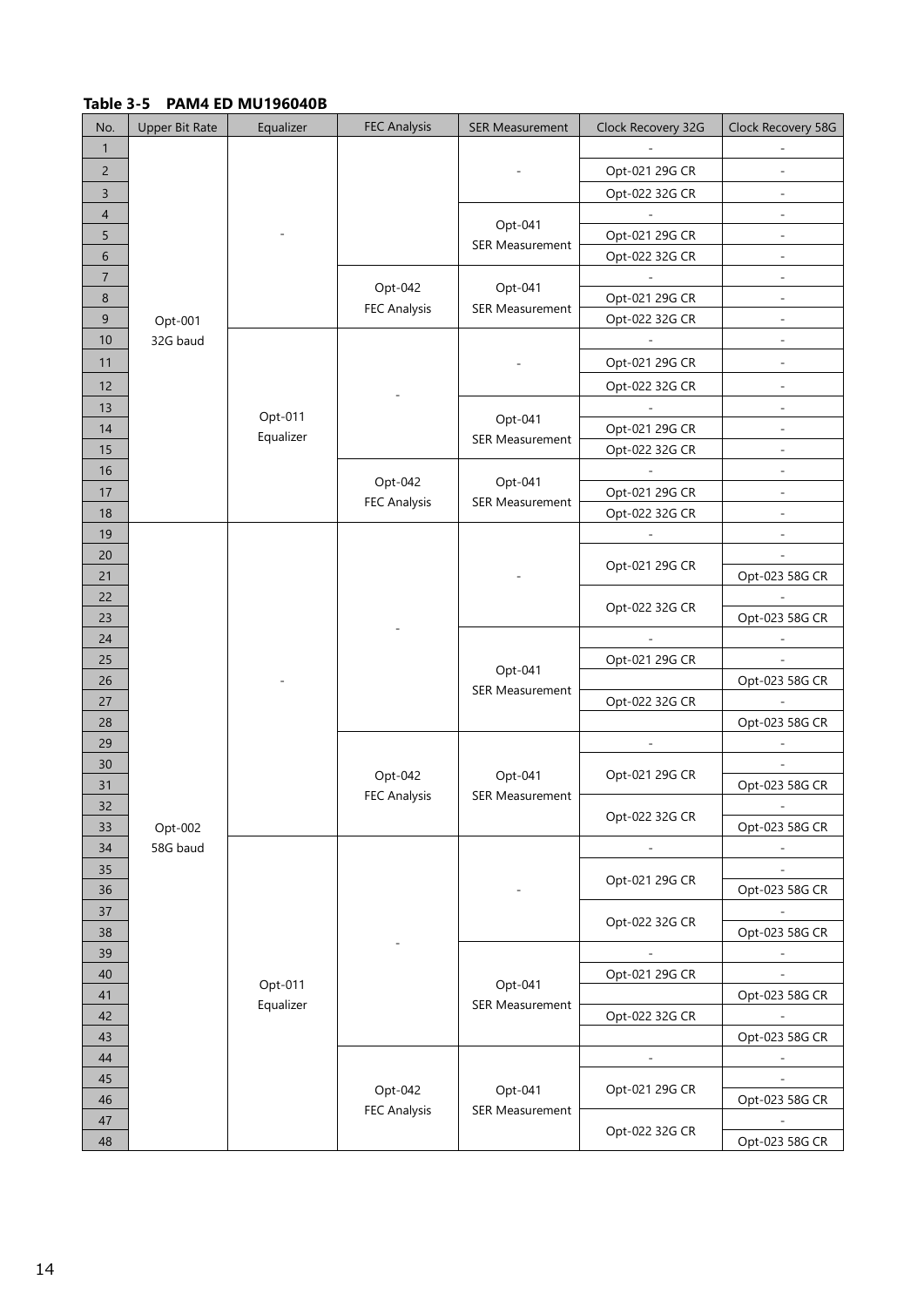## **Table 3-5 PAM4 ED MU196040B**

| No.             | <b>Upper Bit Rate</b> | Equalizer | <b>FEC Analysis</b> | <b>SER Measurement</b> | Clock Recovery 32G       | Clock Recovery 58G       |
|-----------------|-----------------------|-----------|---------------------|------------------------|--------------------------|--------------------------|
| $\mathbf{1}$    |                       |           |                     |                        |                          |                          |
| $\overline{c}$  |                       |           |                     |                        | Opt-021 29G CR           | $\overline{\phantom{a}}$ |
| 3               |                       |           |                     |                        | Opt-022 32G CR           |                          |
| $\overline{4}$  |                       |           |                     |                        |                          | $\frac{1}{2}$            |
| 5               |                       |           |                     | Opt-041                | Opt-021 29G CR           | $\overline{\phantom{a}}$ |
| 6               |                       |           |                     | <b>SER Measurement</b> | Opt-022 32G CR           | $\overline{\phantom{a}}$ |
| $\overline{7}$  |                       |           |                     |                        |                          |                          |
| $\bf 8$         |                       |           | Opt-042             | Opt-041                | Opt-021 29G CR           | $\overline{\phantom{a}}$ |
| 9               | Opt-001               |           | <b>FEC Analysis</b> | <b>SER Measurement</b> | Opt-022 32G CR           | $\overline{\phantom{a}}$ |
| 10              | 32G baud              |           |                     |                        |                          | $\overline{\phantom{a}}$ |
| 11              |                       |           |                     |                        | Opt-021 29G CR           | $\sim$                   |
| 12              |                       |           |                     |                        | Opt-022 32G CR           | $\overline{\phantom{a}}$ |
| 13              |                       |           |                     |                        |                          | $\overline{\phantom{a}}$ |
| 14              |                       | Opt-011   |                     | Opt-041                | Opt-021 29G CR           | $\bar{\phantom{a}}$      |
| 15              |                       | Equalizer |                     | <b>SER Measurement</b> | Opt-022 32G CR           | $\overline{\phantom{a}}$ |
| 16              |                       |           |                     |                        |                          | $\frac{1}{2}$            |
| 17              |                       |           | Opt-042             | Opt-041                | Opt-021 29G CR           | $\sim$                   |
| 18              |                       |           | <b>FEC Analysis</b> | <b>SER Measurement</b> | Opt-022 32G CR           | ÷,                       |
| 19              |                       |           |                     |                        | $\Box$                   | $\overline{\phantom{a}}$ |
| 20              |                       |           |                     |                        |                          | $\overline{\phantom{a}}$ |
| 21              |                       |           |                     |                        | Opt-021 29G CR           | Opt-023 58G CR           |
| 22              |                       |           |                     |                        |                          |                          |
| 23              |                       |           |                     |                        | Opt-022 32G CR           | Opt-023 58G CR           |
| 24              |                       |           |                     |                        |                          |                          |
| 25              |                       |           |                     |                        | Opt-021 29G CR           |                          |
| 26              |                       |           |                     | Opt-041                |                          | Opt-023 58G CR           |
| 27              |                       |           |                     | <b>SER Measurement</b> | Opt-022 32G CR           | $\overline{\phantom{a}}$ |
| 28              |                       |           |                     |                        |                          | Opt-023 58G CR           |
| 29              |                       |           |                     |                        |                          |                          |
| 30              |                       |           |                     |                        |                          |                          |
| 31              |                       |           | Opt-042             | Opt-041                | Opt-021 29G CR           | Opt-023 58G CR           |
| 32 <sub>2</sub> |                       |           | <b>FEC Analysis</b> | <b>SER Measurement</b> |                          |                          |
| 33              | Opt-002               |           |                     |                        | Opt-022 32G CR           | Opt-023 58G CR           |
| 34              | 58G baud              |           |                     |                        |                          |                          |
| 35              |                       |           |                     |                        |                          | $\overline{\phantom{a}}$ |
| 36              |                       |           |                     |                        | Opt-021 29G CR           | Opt-023 58G CR           |
| 37              |                       |           |                     |                        |                          |                          |
| 38              |                       |           |                     |                        | Opt-022 32G CR           | Opt-023 58G CR           |
| 39              |                       |           |                     |                        | $\overline{\phantom{a}}$ | $\overline{\phantom{a}}$ |
| 40              |                       |           |                     |                        | Opt-021 29G CR           |                          |
| $41\,$          |                       | Opt-011   |                     | Opt-041                |                          | Opt-023 58G CR           |
| 42              |                       | Equalizer |                     | <b>SER Measurement</b> | Opt-022 32G CR           |                          |
| 43              |                       |           |                     |                        |                          | Opt-023 58G CR           |
| 44              |                       |           |                     |                        |                          |                          |
| 45              |                       |           |                     |                        |                          |                          |
| 46              |                       |           | Opt-042             | Opt-041                | Opt-021 29G CR           | Opt-023 58G CR           |
| 47              |                       |           | <b>FEC Analysis</b> | <b>SER Measurement</b> |                          |                          |
| 48              |                       |           |                     |                        | Opt-022 32G CR           | Opt-023 58G CR           |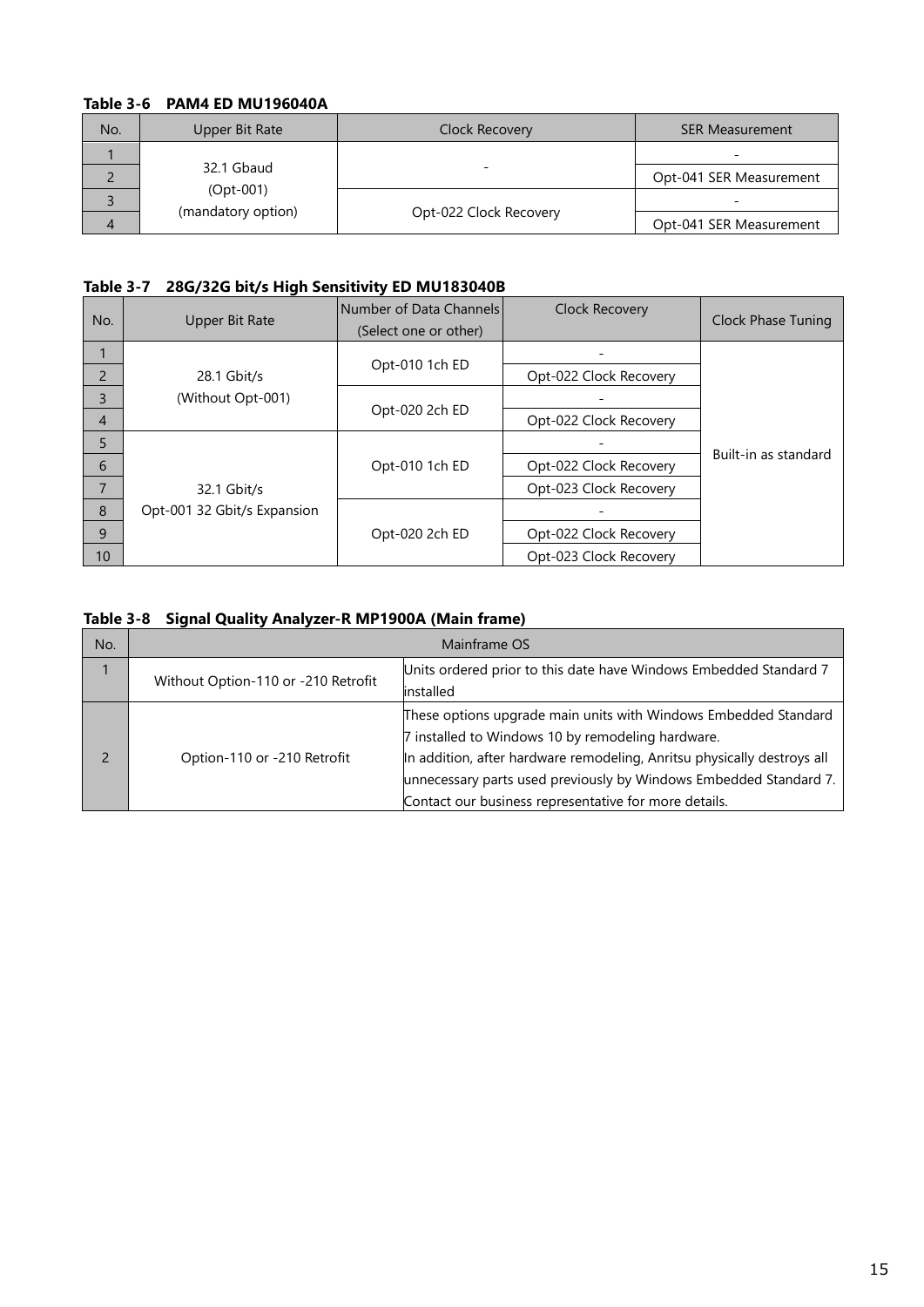# **Table 3-6 PAM4 ED MU196040A**

| No. | Upper Bit Rate                                  | Clock Recovery         | <b>SER Measurement</b>  |
|-----|-------------------------------------------------|------------------------|-------------------------|
|     | 32.1 Gbaud<br>$(Opt-001)$<br>(mandatory option) |                        | -                       |
|     |                                                 |                        | Opt-041 SER Measurement |
|     |                                                 |                        | -                       |
|     |                                                 | Opt-022 Clock Recovery | Opt-041 SER Measurement |

# **Table 3-7 28G/32G bit/s High Sensitivity ED MU183040B**

| No.            | <b>Upper Bit Rate</b>       | Number of Data Channels<br>(Select one or other) | <b>Clock Recovery</b>  | <b>Clock Phase Tuning</b> |
|----------------|-----------------------------|--------------------------------------------------|------------------------|---------------------------|
|                |                             |                                                  |                        |                           |
| $\overline{2}$ | 28.1 Gbit/s                 | Opt-010 1ch ED                                   | Opt-022 Clock Recovery |                           |
| 3              | (Without Opt-001)           |                                                  |                        |                           |
| $\overline{4}$ |                             | Opt-020 2ch ED                                   | Opt-022 Clock Recovery |                           |
| 5              |                             |                                                  |                        | Built-in as standard      |
| 6              |                             | Opt-010 1ch ED                                   | Opt-022 Clock Recovery |                           |
| 7              | 32.1 Gbit/s                 |                                                  | Opt-023 Clock Recovery |                           |
| 8              | Opt-001 32 Gbit/s Expansion |                                                  |                        |                           |
| 9              |                             | Opt-020 2ch ED                                   | Opt-022 Clock Recovery |                           |
| 10             |                             |                                                  | Opt-023 Clock Recovery |                           |

# **Table 3-8 Signal Quality Analyzer-R MP1900A (Main frame)**

| No. | Mainframe OS                                                                                                          |                                                                                                                                                                                                                                                                                                                               |  |
|-----|-----------------------------------------------------------------------------------------------------------------------|-------------------------------------------------------------------------------------------------------------------------------------------------------------------------------------------------------------------------------------------------------------------------------------------------------------------------------|--|
|     | Units ordered prior to this date have Windows Embedded Standard 7<br>Without Option-110 or -210 Retrofit<br>installed |                                                                                                                                                                                                                                                                                                                               |  |
|     | Option-110 or -210 Retrofit                                                                                           | These options upgrade main units with Windows Embedded Standard<br>7 installed to Windows 10 by remodeling hardware.<br>In addition, after hardware remodeling, Anritsu physically destroys all<br>unnecessary parts used previously by Windows Embedded Standard 7.<br>Contact our business representative for more details. |  |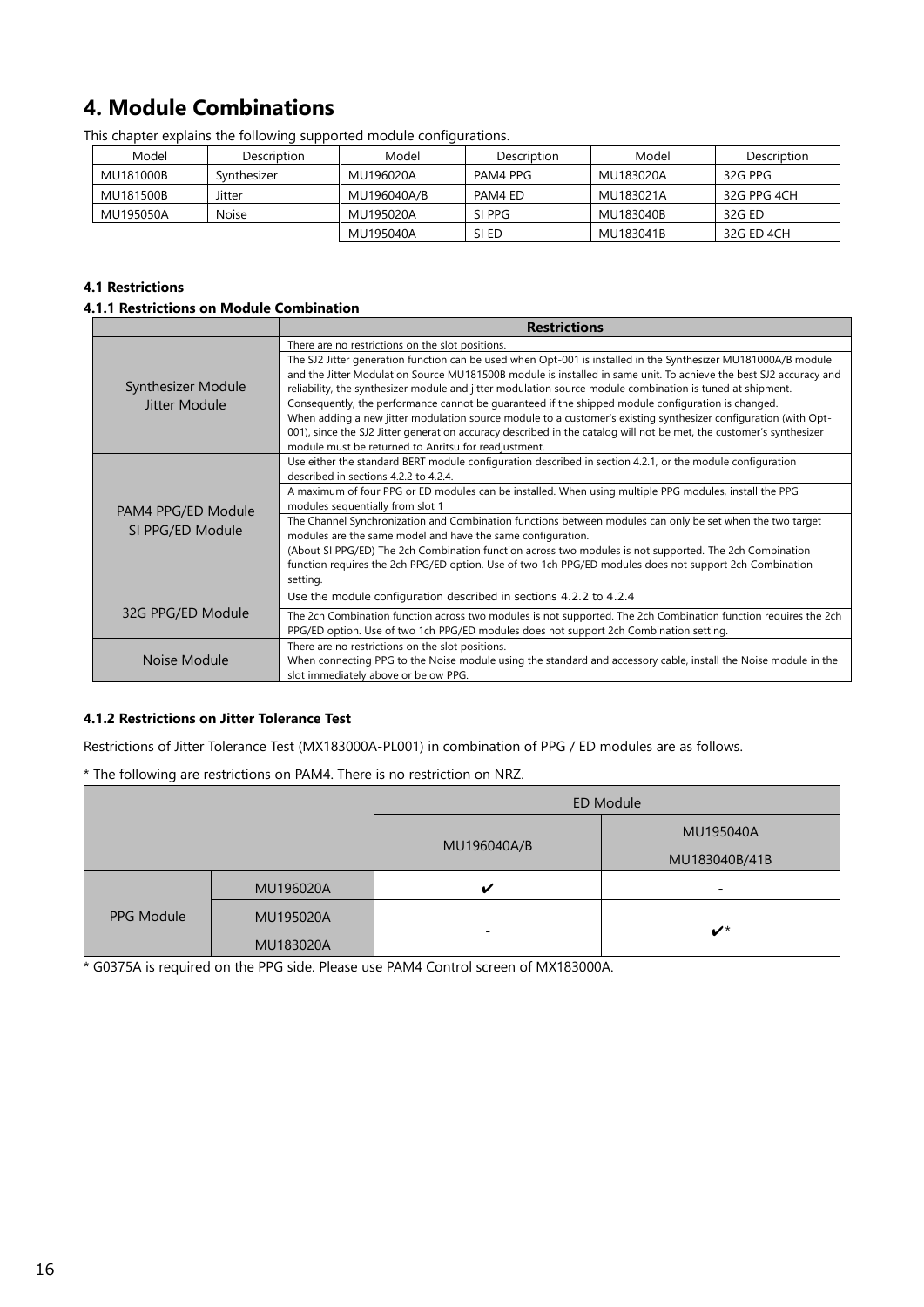# <span id="page-15-0"></span>**4. Module Combinations**

| Model     | Description | Model       | Description | Model     | Description |
|-----------|-------------|-------------|-------------|-----------|-------------|
| MU181000B | Synthesizer | MU196020A   | PAM4 PPG    | MU183020A | 32G PPG     |
| MU181500B | Jitter      | MU196040A/B | PAM4 ED     | MU183021A | 32G PPG 4CH |
| MU195050A | Noise       | MU195020A   | SI PPG      | MU183040B | 32G ED      |
|           |             | MU195040A   | SI ED       | MU183041B | 32G ED 4CH  |

This chapter explains the following supported module configurations.

#### **4.1 Restrictions**

#### **4.1.1 Restrictions on Module Combination**

|                                     | <b>Restrictions</b>                                                                                                                                                                                                                                                                                                                                                                                                                                                                                                                                                                                                                                                                                                                                      |
|-------------------------------------|----------------------------------------------------------------------------------------------------------------------------------------------------------------------------------------------------------------------------------------------------------------------------------------------------------------------------------------------------------------------------------------------------------------------------------------------------------------------------------------------------------------------------------------------------------------------------------------------------------------------------------------------------------------------------------------------------------------------------------------------------------|
|                                     | There are no restrictions on the slot positions.                                                                                                                                                                                                                                                                                                                                                                                                                                                                                                                                                                                                                                                                                                         |
| Synthesizer Module<br>Jitter Module | The SJ2 Jitter generation function can be used when Opt-001 is installed in the Synthesizer MU181000A/B module<br>and the Jitter Modulation Source MU181500B module is installed in same unit. To achieve the best SJ2 accuracy and<br>reliability, the synthesizer module and jitter modulation source module combination is tuned at shipment.<br>Consequently, the performance cannot be quaranteed if the shipped module configuration is changed.<br>When adding a new jitter modulation source module to a customer's existing synthesizer configuration (with Opt-<br>001), since the SJ2 Jitter generation accuracy described in the catalog will not be met, the customer's synthesizer<br>module must be returned to Anritsu for readjustment. |
|                                     | Use either the standard BERT module configuration described in section 4.2.1, or the module configuration<br>described in sections 4.2.2 to 4.2.4.                                                                                                                                                                                                                                                                                                                                                                                                                                                                                                                                                                                                       |
| PAM4 PPG/ED Module                  | A maximum of four PPG or ED modules can be installed. When using multiple PPG modules, install the PPG<br>modules sequentially from slot 1                                                                                                                                                                                                                                                                                                                                                                                                                                                                                                                                                                                                               |
| SI PPG/ED Module                    | The Channel Synchronization and Combination functions between modules can only be set when the two target<br>modules are the same model and have the same configuration.                                                                                                                                                                                                                                                                                                                                                                                                                                                                                                                                                                                 |
|                                     | (About SI PPG/ED) The 2ch Combination function across two modules is not supported. The 2ch Combination<br>function requires the 2ch PPG/ED option. Use of two 1ch PPG/ED modules does not support 2ch Combination<br>setting.                                                                                                                                                                                                                                                                                                                                                                                                                                                                                                                           |
|                                     | Use the module configuration described in sections 4.2.2 to 4.2.4                                                                                                                                                                                                                                                                                                                                                                                                                                                                                                                                                                                                                                                                                        |
| 32G PPG/ED Module                   | The 2ch Combination function across two modules is not supported. The 2ch Combination function requires the 2ch<br>PPG/ED option. Use of two 1ch PPG/ED modules does not support 2ch Combination setting.                                                                                                                                                                                                                                                                                                                                                                                                                                                                                                                                                |
| Noise Module                        | There are no restrictions on the slot positions.<br>When connecting PPG to the Noise module using the standard and accessory cable, install the Noise module in the<br>slot immediately above or below PPG.                                                                                                                                                                                                                                                                                                                                                                                                                                                                                                                                              |

### **4.1.2 Restrictions on Jitter Tolerance Test**

Restrictions of Jitter Tolerance Test (MX183000A-PL001) in combination of PPG / ED modules are as follows.

\* The following are restrictions on PAM4. There is no restriction on NRZ.

|            |           |             | ED Module                  |
|------------|-----------|-------------|----------------------------|
|            |           |             | MU195040A                  |
|            |           | MU196040A/B | MU183040B/41B              |
|            | MU196020A | ✓           | $\overline{\phantom{0}}$   |
| PPG Module | MU195020A |             |                            |
|            | MU183020A | -           | $\boldsymbol{\nu}^{\star}$ |

\* G0375A is required on the PPG side. Please use PAM4 Control screen of MX183000A.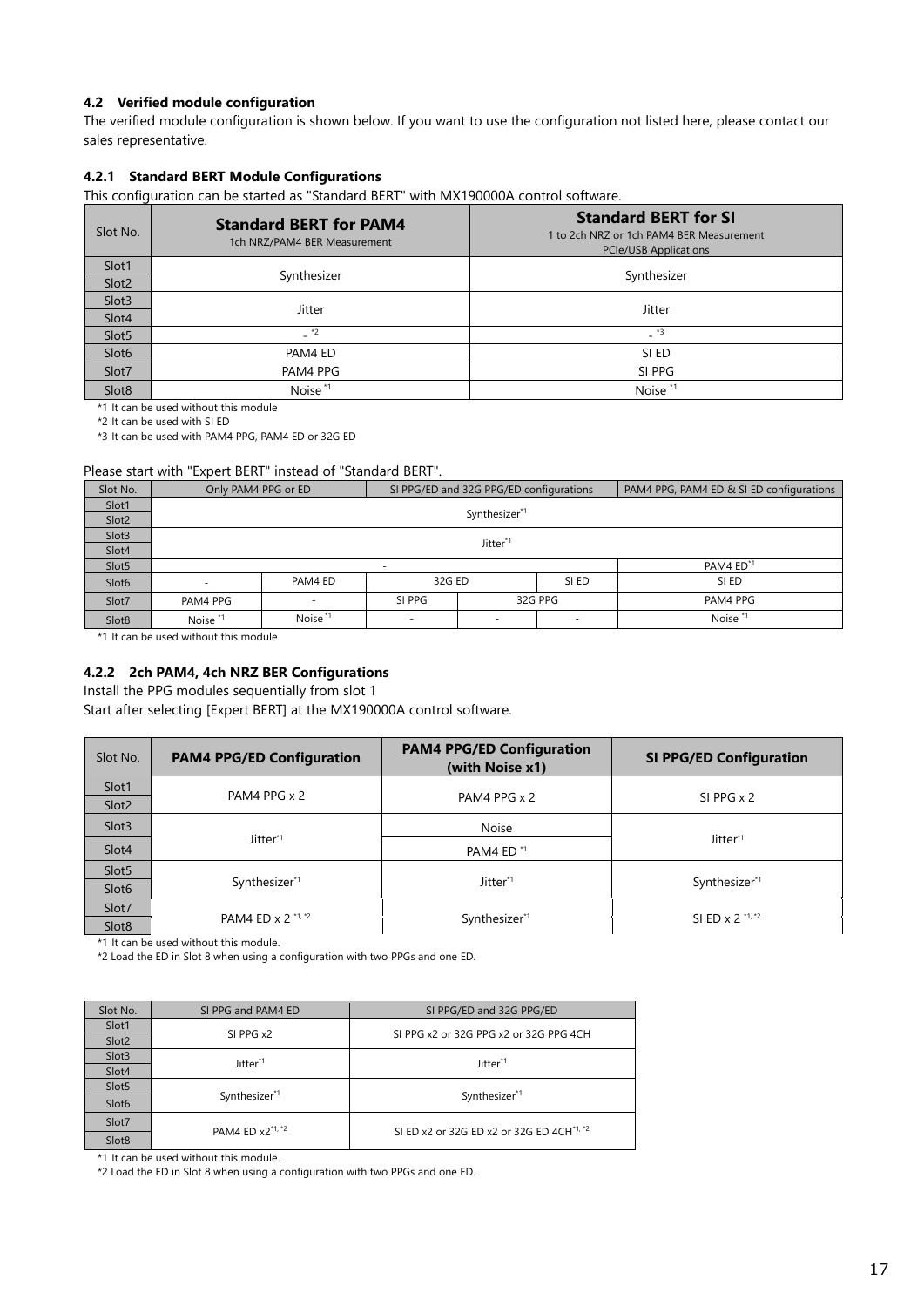#### **4.2 Verified module configuration**

The verified module configuration is shown below. If you want to use the configuration not listed here, please contact our sales representative.

#### **4.2.1 Standard BERT Module Configurations**

This configuration can be started as "Standard BERT" with MX190000A control software.

| Slot No.          | <b>Standard BERT for PAM4</b><br>1ch NRZ/PAM4 BER Measurement | <b>Standard BERT for SI</b><br>1 to 2ch NRZ or 1ch PAM4 BER Measurement<br><b>PCIe/USB Applications</b> |  |
|-------------------|---------------------------------------------------------------|---------------------------------------------------------------------------------------------------------|--|
| Slot1             |                                                               |                                                                                                         |  |
| Slot <sub>2</sub> | Synthesizer                                                   | Synthesizer                                                                                             |  |
| Slot3             | <b>Jitter</b>                                                 | Jitter                                                                                                  |  |
| Slot4             |                                                               |                                                                                                         |  |
| Slot <sub>5</sub> | $-$ *2                                                        | $-$ *3                                                                                                  |  |
| Slot <sub>6</sub> | PAM4 ED                                                       | SI ED                                                                                                   |  |
| Slot7             | PAM4 PPG                                                      | SI PPG                                                                                                  |  |
| Slot <sub>8</sub> | Noise <sup>*1</sup>                                           | Noise <sup>*1</sup>                                                                                     |  |

\*1 It can be used without this module

\*2 It can be used with SI ED

\*3 It can be used with PAM4 PPG, PAM4 ED or 32G ED

#### Please start with "Expert BERT" instead of "Standard BERT".

| Slot No.          | Only PAM4 PPG or ED        |                          | SI PPG/ED and 32G PPG/ED configurations |                          |       | PAM4 PPG, PAM4 ED & SI ED configurations |
|-------------------|----------------------------|--------------------------|-----------------------------------------|--------------------------|-------|------------------------------------------|
| Slot1             |                            |                          |                                         |                          |       |                                          |
| Slot <sub>2</sub> |                            |                          |                                         | Synthesizer*1            |       |                                          |
| Slot3             |                            |                          |                                         |                          |       |                                          |
| Slot4             |                            | Jitter <sup>*1</sup>     |                                         |                          |       |                                          |
| Slot5             | PAM4 ED <sup>*1</sup><br>- |                          |                                         |                          |       |                                          |
| Slot <sub>6</sub> |                            | PAM4 ED                  | 32G ED                                  |                          | SI ED | SI ED                                    |
| Slot7             | PAM4 PPG                   | $\overline{\phantom{a}}$ | 32G PPG<br>SI PPG                       |                          |       | PAM4 PPG                                 |
| Slot <sub>8</sub> | Noise <sup>*1</sup>        | Noise <sup>*1</sup>      |                                         | $\overline{\phantom{a}}$ | -     | Noise <sup>*1</sup>                      |

\*1 It can be used without this module

### **4.2.2 2ch PAM4, 4ch NRZ BER Configurations**

Install the PPG modules sequentially from slot 1

Start after selecting [Expert BERT] at the MX190000A control software.

| Slot No.                   | <b>PAM4 PPG/ED Configuration</b> | <b>PAM4 PPG/ED Configuration</b><br>(with Noise x1) | <b>SI PPG/ED Configuration</b> |
|----------------------------|----------------------------------|-----------------------------------------------------|--------------------------------|
| Slot1<br>Slot <sub>2</sub> | PAM4 PPG x 2                     | PAM4 PPG x 2                                        | $SI$ PPG $\times$ 2            |
| Slot <sub>3</sub>          |                                  | <b>Noise</b>                                        |                                |
| Slot4                      | Jitter*1                         | PAM4 ED <sup>*1</sup>                               | Jitter*1                       |
| Slot <sub>5</sub>          |                                  |                                                     |                                |
| Slot <sub>6</sub>          | Synthesizer*1                    | Jitter* <sup>1</sup>                                | Synthesizer*1                  |
| Slot7                      |                                  |                                                     |                                |
| Slot <sub>8</sub>          | PAM4 ED x 2 *1, *2               | Synthesizer*1                                       | SI ED x 2 *1, *2               |

\*1 It can be used without this module.

\*2 Load the ED in Slot 8 when using a configuration with two PPGs and one ED.

| Slot No.          | SI PPG and PAM4 ED   | SI PPG/ED and 32G PPG/ED                              |  |
|-------------------|----------------------|-------------------------------------------------------|--|
| Slot1             | SI PPG x2            |                                                       |  |
| Slot <sub>2</sub> |                      | SI PPG x2 or 32G PPG x2 or 32G PPG 4CH                |  |
| Slot3             | Jitter <sup>*1</sup> | Jitter <sup>*1</sup>                                  |  |
| Slot4             |                      |                                                       |  |
| Slot5             |                      |                                                       |  |
| Slot <sub>6</sub> | Synthesizer*1        | Synthesizer*1                                         |  |
| Slot7             | PAM4 ED x2*1, *2     | SI ED x2 or 32G ED x2 or 32G ED 4CH <sup>*1, *2</sup> |  |
| Slot <sub>8</sub> |                      |                                                       |  |

\*1 It can be used without this module.

\*2 Load the ED in Slot 8 when using a configuration with two PPGs and one ED.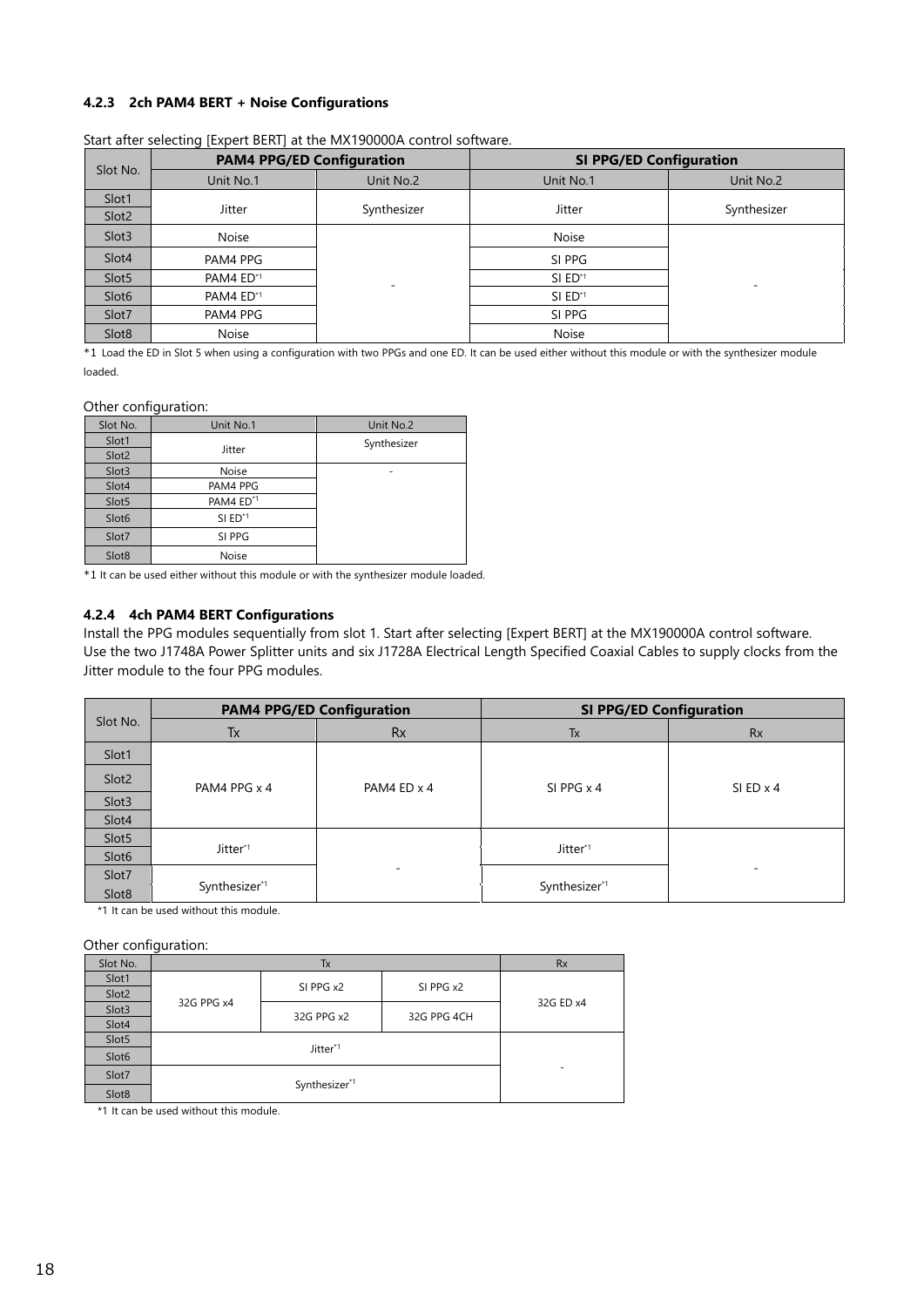#### **4.2.3 2ch PAM4 BERT + Noise Configurations**

|                            | <b>PAM4 PPG/ED Configuration</b> |             | <b>SI PPG/ED Configuration</b> |             |  |
|----------------------------|----------------------------------|-------------|--------------------------------|-------------|--|
| Slot No.                   | Unit No.1                        | Unit No.2   | Unit No.1                      | Unit No.2   |  |
| Slot1<br>Slot <sub>2</sub> | Jitter                           | Synthesizer | <b>Jitter</b>                  | Synthesizer |  |
| Slot <sub>3</sub>          | <b>Noise</b>                     |             | <b>Noise</b>                   |             |  |
| Slot4                      | PAM4 PPG                         |             | SI PPG                         |             |  |
| Slot <sub>5</sub>          | PAM4 ED*1                        | -           | SI ED*1                        |             |  |
| Slot <sub>6</sub>          | PAM4 ED*1                        |             | SI ED <sup>*1</sup>            |             |  |
| Slot7                      | PAM4 PPG                         |             | SI PPG                         |             |  |
| Slot <sub>8</sub>          | Noise                            |             | Noise                          |             |  |

Start after selecting [Expert BERT] at the MX190000A control software.

\*1 Load the ED in Slot 5 when using a configuration with two PPGs and one ED. It can be used either without this module or with the synthesizer module loaded.

#### Other configuration:

| Slot No.          | Unit No.1             | Unit No.2   |
|-------------------|-----------------------|-------------|
| Slot1             |                       | Synthesizer |
| Slot2             | Jitter                |             |
| Slot3             | <b>Noise</b>          |             |
| Slot4             | PAM4 PPG              |             |
| Slot5             | PAM4 ED <sup>*1</sup> |             |
| Slot <sub>6</sub> | $SI$ ED <sup>*1</sup> |             |
| Slot7             | SI PPG                |             |
| Slot <sub>8</sub> | <b>Noise</b>          |             |

\*1 It can be used either without this module or with the synthesizer module loaded.

#### **4.2.4 4ch PAM4 BERT Configurations**

Install the PPG modules sequentially from slot 1. Start after selecting [Expert BERT] at the MX190000A control software. Use the two J1748A Power Splitter units and six J1728A Electrical Length Specified Coaxial Cables to supply clocks from the Jitter module to the four PPG modules.

| Slot No.          | <b>PAM4 PPG/ED Configuration</b> |             | <b>SI PPG/ED Configuration</b> |                  |  |
|-------------------|----------------------------------|-------------|--------------------------------|------------------|--|
|                   | Tx                               | <b>Rx</b>   | Tx                             | <b>Rx</b>        |  |
| Slot1             |                                  |             |                                |                  |  |
| Slot <sub>2</sub> | PAM4 PPG x 4                     | PAM4 ED x 4 | SI PPG $\times$ 4              | $SI ED \times 4$ |  |
| Slot <sub>3</sub> |                                  |             |                                |                  |  |
| Slot4             |                                  |             |                                |                  |  |
| Slot5             |                                  |             |                                |                  |  |
| Slot <sub>6</sub> | Jitter*1                         |             | Jitter*1                       |                  |  |
| Slot7             |                                  | -           |                                |                  |  |
| Slot <sub>8</sub> | Synthesizer*1                    |             | Synthesizer*1                  |                  |  |

\*1 It can be used without this module.

Other configuration:

| Slot No.          |            | <b>Rx</b>  |             |           |  |
|-------------------|------------|------------|-------------|-----------|--|
| Slot1             |            |            |             |           |  |
| Slot <sub>2</sub> |            | SI PPG x2  | SI PPG x2   |           |  |
| Slot3             | 32G PPG x4 | 32G PPG x2 | 32G PPG 4CH | 32G ED x4 |  |
| Slot4             |            |            |             |           |  |
| Slot5             |            |            |             |           |  |
| Slot <sub>6</sub> |            |            |             |           |  |
| Slot7             |            | ۰          |             |           |  |
| Slot8             |            |            |             |           |  |

\*1 It can be used without this module.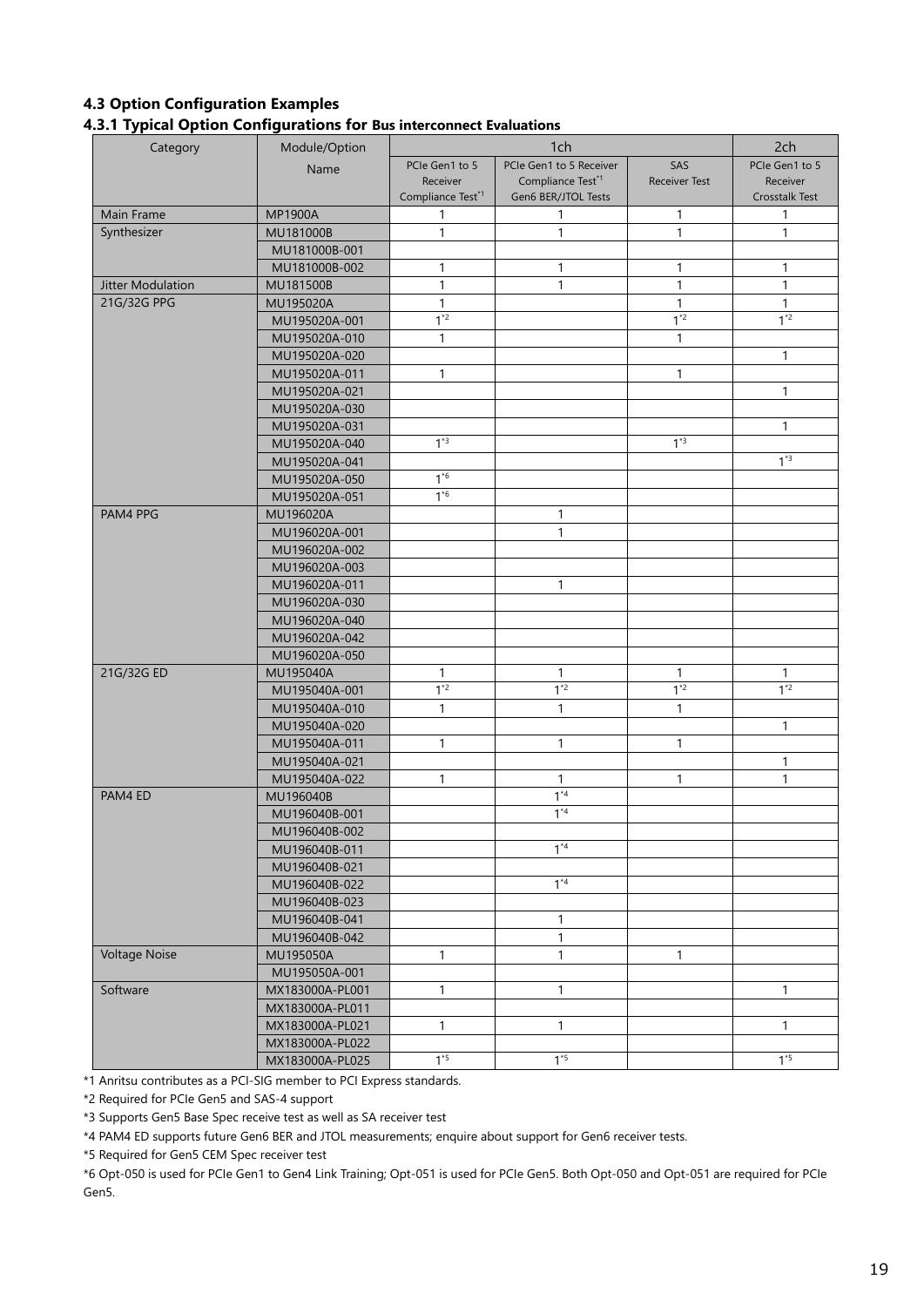## **4.3 Option Configuration Examples 4.3.1 Typical Option Configurations for Bus interconnect Evaluations**

| Category             | Module/Option   |                               | 2ch                           |                      |                |
|----------------------|-----------------|-------------------------------|-------------------------------|----------------------|----------------|
|                      | Name            | PCIe Gen1 to 5                | PCIe Gen1 to 5 Receiver       | SAS                  | PCIe Gen1 to 5 |
|                      |                 | Receiver                      | Compliance Test <sup>*1</sup> | <b>Receiver Test</b> | Receiver       |
|                      |                 | Compliance Test <sup>*1</sup> | Gen6 BER/JTOL Tests           |                      | Crosstalk Test |
| Main Frame           | <b>MP1900A</b>  | 1                             | 1                             | 1                    | 1              |
| Synthesizer          | MU181000B       | $\mathbf{1}$                  | $\mathbf{1}$                  | $\mathbf{1}$         | $\mathbf{1}$   |
|                      | MU181000B-001   |                               |                               |                      |                |
|                      | MU181000B-002   | $\mathbf{1}$                  | $\mathbf{1}$                  | $\mathbf{1}$         | $\mathbf{1}$   |
| Jitter Modulation    | MU181500B       | $\mathbf{1}$                  | 1                             | 1                    | $\mathbf{1}$   |
| 21G/32G PPG          | MU195020A       | 1                             |                               | 1                    | 1              |
|                      | MU195020A-001   | $1^*2$                        |                               | $1^{*2}$             | $1*2$          |
|                      | MU195020A-010   | $\mathbf{1}$                  |                               | 1                    |                |
|                      | MU195020A-020   |                               |                               |                      | 1              |
|                      | MU195020A-011   | $\mathbf{1}$                  |                               | $\mathbf{1}$         |                |
|                      | MU195020A-021   |                               |                               |                      | $\mathbf{1}$   |
|                      | MU195020A-030   |                               |                               |                      |                |
|                      | MU195020A-031   |                               |                               |                      | $\mathbf{1}$   |
|                      | MU195020A-040   | $1*3$                         |                               | $1*3$                |                |
|                      | MU195020A-041   |                               |                               |                      | $1*3$          |
|                      | MU195020A-050   | $1*6$                         |                               |                      |                |
|                      | MU195020A-051   | $1*6$                         |                               |                      |                |
| PAM4 PPG             | MU196020A       |                               | $\mathbf{1}$                  |                      |                |
|                      | MU196020A-001   |                               | $\mathbf{1}$                  |                      |                |
|                      | MU196020A-002   |                               |                               |                      |                |
|                      | MU196020A-003   |                               |                               |                      |                |
|                      | MU196020A-011   |                               | $\mathbf{1}$                  |                      |                |
|                      | MU196020A-030   |                               |                               |                      |                |
|                      | MU196020A-040   |                               |                               |                      |                |
|                      | MU196020A-042   |                               |                               |                      |                |
|                      | MU196020A-050   |                               |                               |                      |                |
| 21G/32G ED           | MU195040A       | $\mathbf{1}$                  | 1                             | 1                    | $\mathbf{1}$   |
|                      | MU195040A-001   | $1*2$                         | $1^{2}$                       | $1^{*2}$             | $1*2$          |
|                      | MU195040A-010   | $\mathbf{1}$                  | 1                             | 1                    |                |
|                      | MU195040A-020   |                               |                               |                      | $\mathbf{1}$   |
|                      | MU195040A-011   | $\mathbf{1}$                  | 1                             | 1                    |                |
|                      | MU195040A-021   |                               |                               |                      | 1              |
|                      | MU195040A-022   | $\mathbf{1}$                  | 1                             | 1                    | 1              |
| PAM4 ED              | MU196040B       |                               | $1*4$                         |                      |                |
|                      | MU196040B-001   |                               | $1*4$                         |                      |                |
|                      | MU196040B-002   |                               |                               |                      |                |
|                      | MU196040B-011   |                               | $1*4$                         |                      |                |
|                      | MU196040B-021   |                               |                               |                      |                |
|                      | MU196040B-022   |                               | $1*4$                         |                      |                |
|                      | MU196040B-023   |                               |                               |                      |                |
|                      | MU196040B-041   |                               | $\mathbf{1}$                  |                      |                |
|                      | MU196040B-042   |                               | 1                             |                      |                |
| <b>Voltage Noise</b> | MU195050A       | $\mathbf{1}$                  | $\mathbf{1}$                  | $\mathbf{1}$         |                |
|                      | MU195050A-001   |                               |                               |                      |                |
| Software             | MX183000A-PL001 | $\mathbf{1}$                  | 1                             |                      | 1              |
|                      | MX183000A-PL011 |                               |                               |                      |                |
|                      | MX183000A-PL021 | $\mathbf{1}$                  | $\mathbf{1}$                  |                      | $\mathbf{1}$   |
|                      | MX183000A-PL022 |                               |                               |                      |                |
|                      | MX183000A-PL025 | $1*5$                         | $1*5$                         |                      | $1*5$          |
|                      |                 |                               |                               |                      |                |

\*1 Anritsu contributes as a PCI-SIG member to PCI Express standards.

\*2 Required for PCIe Gen5 and SAS-4 support

\*3 Supports Gen5 Base Spec receive test as well as SA receiver test

\*4 PAM4 ED supports future Gen6 BER and JTOL measurements; enquire about support for Gen6 receiver tests.

\*5 Required for Gen5 CEM Spec receiver test

\*6 Opt-050 is used for PCIe Gen1 to Gen4 Link Training; Opt-051 is used for PCIe Gen5. Both Opt-050 and Opt-051 are required for PCIe Gen5.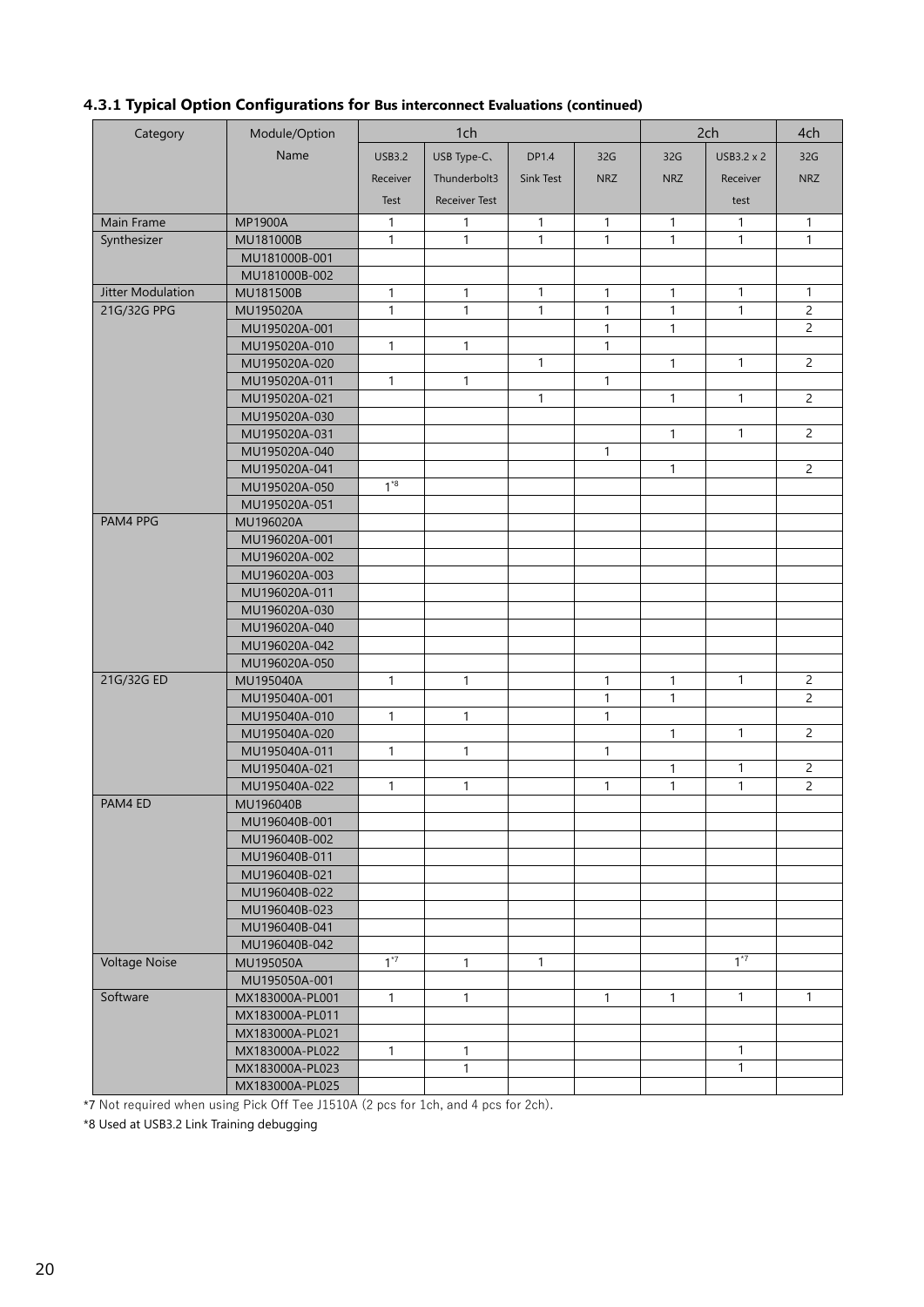| Category             | Module/Option                  | 1ch           |                      | 2ch          |              | 4ch          |              |                |
|----------------------|--------------------------------|---------------|----------------------|--------------|--------------|--------------|--------------|----------------|
|                      | Name                           | <b>USB3.2</b> | USB Type-C.          | DP1.4        | 32G          | 32G          | USB3.2 x 2   | 32G            |
|                      |                                |               |                      |              |              |              |              |                |
|                      |                                | Receiver      | Thunderbolt3         | Sink Test    | <b>NRZ</b>   | <b>NRZ</b>   | Receiver     | <b>NRZ</b>     |
|                      |                                | Test          | <b>Receiver Test</b> |              |              |              | test         |                |
| Main Frame           | <b>MP1900A</b>                 | $\mathbf{1}$  | 1                    | $\mathbf{1}$ | $\mathbf{1}$ | $\mathbf{1}$ | $\mathbf{1}$ | $\mathbf{1}$   |
| Synthesizer          | MU181000B                      | $\mathbf{1}$  | $\mathbf{1}$         | $\mathbf{1}$ | $\mathbf{1}$ | $\mathbf{1}$ | 1            | $\mathbf{1}$   |
|                      | MU181000B-001                  |               |                      |              |              |              |              |                |
|                      | MU181000B-002                  |               |                      |              |              |              |              |                |
| Jitter Modulation    | MU181500B                      | 1             | $\mathbf{1}$         | $\mathbf{1}$ | 1            | $\mathbf{1}$ | $\mathbf{1}$ | 1              |
| 21G/32G PPG          | MU195020A                      | 1             | $\mathbf{1}$         | 1            | 1            | $\mathbf{1}$ | 1            | $\overline{c}$ |
|                      | MU195020A-001                  |               |                      |              | $\mathbf{1}$ | 1            |              | $\overline{2}$ |
|                      | MU195020A-010                  | 1             | $\mathbf{1}$         |              | $\mathbf{1}$ |              |              |                |
|                      | MU195020A-020                  |               |                      | $\mathbf{1}$ |              | $\mathbf{1}$ | $\mathbf{1}$ | $\overline{c}$ |
|                      | MU195020A-011                  | $\mathbf{1}$  | $\mathbf{1}$         |              | $\mathbf{1}$ |              |              |                |
|                      | MU195020A-021                  |               |                      | 1            |              | $\mathbf{1}$ | $\mathbf{1}$ | $\overline{2}$ |
|                      | MU195020A-030                  |               |                      |              |              |              |              |                |
|                      | MU195020A-031                  |               |                      |              |              | $\mathbf{1}$ | 1            | $\overline{2}$ |
|                      | MU195020A-040                  |               |                      |              | 1            |              |              |                |
|                      | MU195020A-041                  | $1*8$         |                      |              |              | $\mathbf{1}$ |              | $\overline{2}$ |
|                      | MU195020A-050                  |               |                      |              |              |              |              |                |
| PAM4 PPG             | MU195020A-051                  |               |                      |              |              |              |              |                |
|                      | MU196020A                      |               |                      |              |              |              |              |                |
|                      | MU196020A-001                  |               |                      |              |              |              |              |                |
|                      | MU196020A-002<br>MU196020A-003 |               |                      |              |              |              |              |                |
|                      | MU196020A-011                  |               |                      |              |              |              |              |                |
|                      | MU196020A-030                  |               |                      |              |              |              |              |                |
|                      | MU196020A-040                  |               |                      |              |              |              |              |                |
|                      | MU196020A-042                  |               |                      |              |              |              |              |                |
|                      | MU196020A-050                  |               |                      |              |              |              |              |                |
| 21G/32G ED           | MU195040A                      | 1             | $\mathbf{1}$         |              | 1            | 1            | $\mathbf{1}$ | $\overline{2}$ |
|                      | MU195040A-001                  |               |                      |              | $\mathbf{1}$ | $\mathbf{1}$ |              | $\overline{2}$ |
|                      | MU195040A-010                  | 1             | $\mathbf{1}$         |              | $\mathbf{1}$ |              |              |                |
|                      | MU195040A-020                  |               |                      |              |              | $\mathbf{1}$ | $\mathbf{1}$ | $\overline{2}$ |
|                      | MU195040A-011                  | 1             | $\mathbf{1}$         |              | 1            |              |              |                |
|                      | MU195040A-021                  |               |                      |              |              | $\mathbf{1}$ | 1            | $\overline{2}$ |
|                      | MU195040A-022                  | 1             | $\mathbf{1}$         |              | 1            | $\mathbf{1}$ | 1            | $\overline{2}$ |
| PAM4 ED              | MU196040B                      |               |                      |              |              |              |              |                |
|                      | MU196040B-001                  |               |                      |              |              |              |              |                |
|                      | MU196040B-002                  |               |                      |              |              |              |              |                |
|                      | MU196040B-011                  |               |                      |              |              |              |              |                |
|                      | MU196040B-021                  |               |                      |              |              |              |              |                |
|                      | MU196040B-022                  |               |                      |              |              |              |              |                |
|                      | MU196040B-023                  |               |                      |              |              |              |              |                |
|                      | MU196040B-041                  |               |                      |              |              |              |              |                |
|                      | MU196040B-042                  |               |                      |              |              |              |              |                |
| <b>Voltage Noise</b> | MU195050A                      | $1*7$         | 1                    | 1            |              |              | $1^{*7}$     |                |
|                      | MU195050A-001                  |               |                      |              |              |              |              |                |
| Software             | MX183000A-PL001                | 1             | $\mathbf{1}$         |              | 1            | 1            | 1            | 1              |
|                      | MX183000A-PL011                |               |                      |              |              |              |              |                |
|                      | MX183000A-PL021                |               |                      |              |              |              |              |                |
|                      | MX183000A-PL022                | $\mathbf{1}$  | $\mathbf{1}$         |              |              |              | 1            |                |
|                      | MX183000A-PL023                |               | 1                    |              |              |              | 1            |                |
|                      | MX183000A-PL025                |               |                      |              |              |              |              |                |

# **4.3.1 Typical Option Configurations for Bus interconnect Evaluations (continued)**

\*7 Not required when using Pick Off Tee J1510A (2 pcs for 1ch, and 4 pcs for 2ch).

\*8 Used at USB3.2 Link Training debugging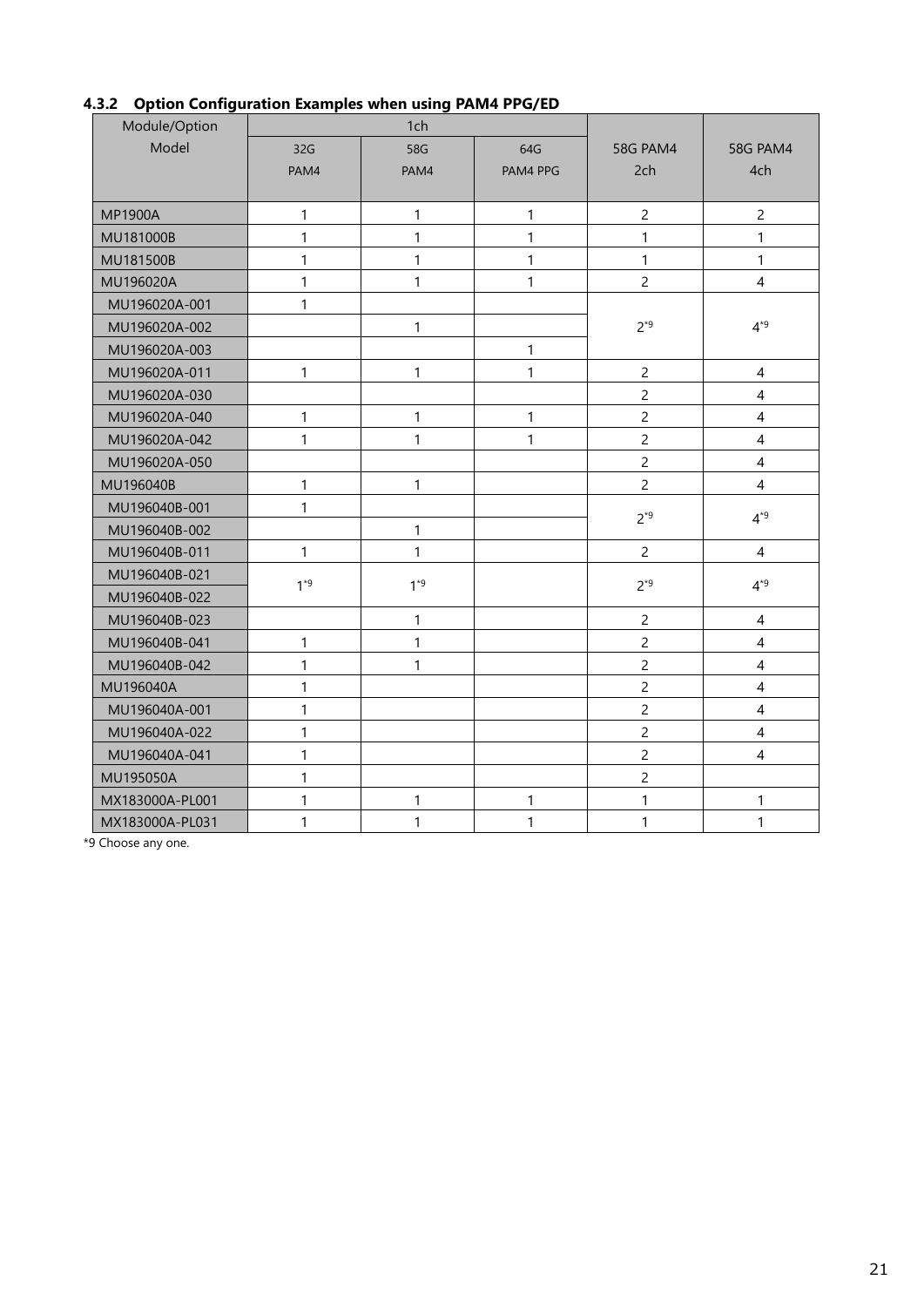| Module/Option   |              | 1ch          |              |                 |                          |
|-----------------|--------------|--------------|--------------|-----------------|--------------------------|
| Model           | 32G          | 58G          | 64G          | <b>58G PAM4</b> | <b>58G PAM4</b>          |
|                 | PAM4         | PAM4         | PAM4 PPG     | 2ch             | 4ch                      |
|                 |              |              |              |                 |                          |
| <b>MP1900A</b>  | 1            | $\mathbf{1}$ | 1            | $\overline{c}$  | $\overline{c}$           |
| MU181000B       | 1            | $\mathbf{1}$ | $\mathbf{1}$ | $\mathbf{1}$    | 1                        |
| MU181500B       | 1            | $\mathbf{1}$ | 1            | $\mathbf{1}$    | 1                        |
| MU196020A       | 1            | $\mathbf{1}$ | 1            | $\overline{c}$  | $\overline{4}$           |
| MU196020A-001   | 1            |              |              |                 |                          |
| MU196020A-002   |              | $\mathbf{1}$ |              | $2*9$           | $4^{*9}$                 |
| MU196020A-003   |              |              | 1            |                 |                          |
| MU196020A-011   | 1            | $\mathbf{1}$ | 1            | $\overline{c}$  | $\overline{4}$           |
| MU196020A-030   |              |              |              | $\overline{c}$  | $\overline{\mathcal{L}}$ |
| MU196020A-040   | 1            | $\mathbf{1}$ | 1            | $\overline{c}$  | $\overline{4}$           |
| MU196020A-042   | 1            | $\mathbf{1}$ | 1            | $\overline{c}$  | $\overline{\mathcal{A}}$ |
| MU196020A-050   |              |              |              | $\overline{c}$  | $\overline{4}$           |
| MU196040B       | 1            | $\mathbf{1}$ |              | $\overline{c}$  | 4                        |
| MU196040B-001   | 1            |              |              | $2*9$           | $4*9$                    |
| MU196040B-002   |              | $\mathbf{1}$ |              |                 |                          |
| MU196040B-011   | 1            | $\mathbf{1}$ |              | $\overline{c}$  | $\overline{4}$           |
| MU196040B-021   | $1*9$        | $1*9$        |              | $2*9$           | $4*9$                    |
| MU196040B-022   |              |              |              |                 |                          |
| MU196040B-023   |              | $\mathbf{1}$ |              | $\overline{c}$  | $\overline{4}$           |
| MU196040B-041   | 1            | $\mathbf{1}$ |              | $\overline{c}$  | $\overline{\mathcal{L}}$ |
| MU196040B-042   | 1            | $\mathbf{1}$ |              | $\overline{c}$  | $\overline{4}$           |
| MU196040A       | 1            |              |              | $\overline{c}$  | $\overline{4}$           |
| MU196040A-001   | 1            |              |              | $\overline{c}$  | $\overline{\mathcal{A}}$ |
| MU196040A-022   | 1            |              |              | $\overline{c}$  | $\overline{4}$           |
| MU196040A-041   | $\mathbf{1}$ |              |              | $\overline{c}$  | 4                        |
| MU195050A       | 1            |              |              | $\overline{c}$  |                          |
| MX183000A-PL001 | 1            | 1            | 1            | $\mathbf{1}$    | 1                        |
| MX183000A-PL031 | 1            | $\mathbf{1}$ | $\mathbf{1}$ | $\mathbf{1}$    | $\mathbf{1}$             |

# **4.3.2 Option Configuration Examples when using PAM4 PPG/ED**

\*9 Choose any one.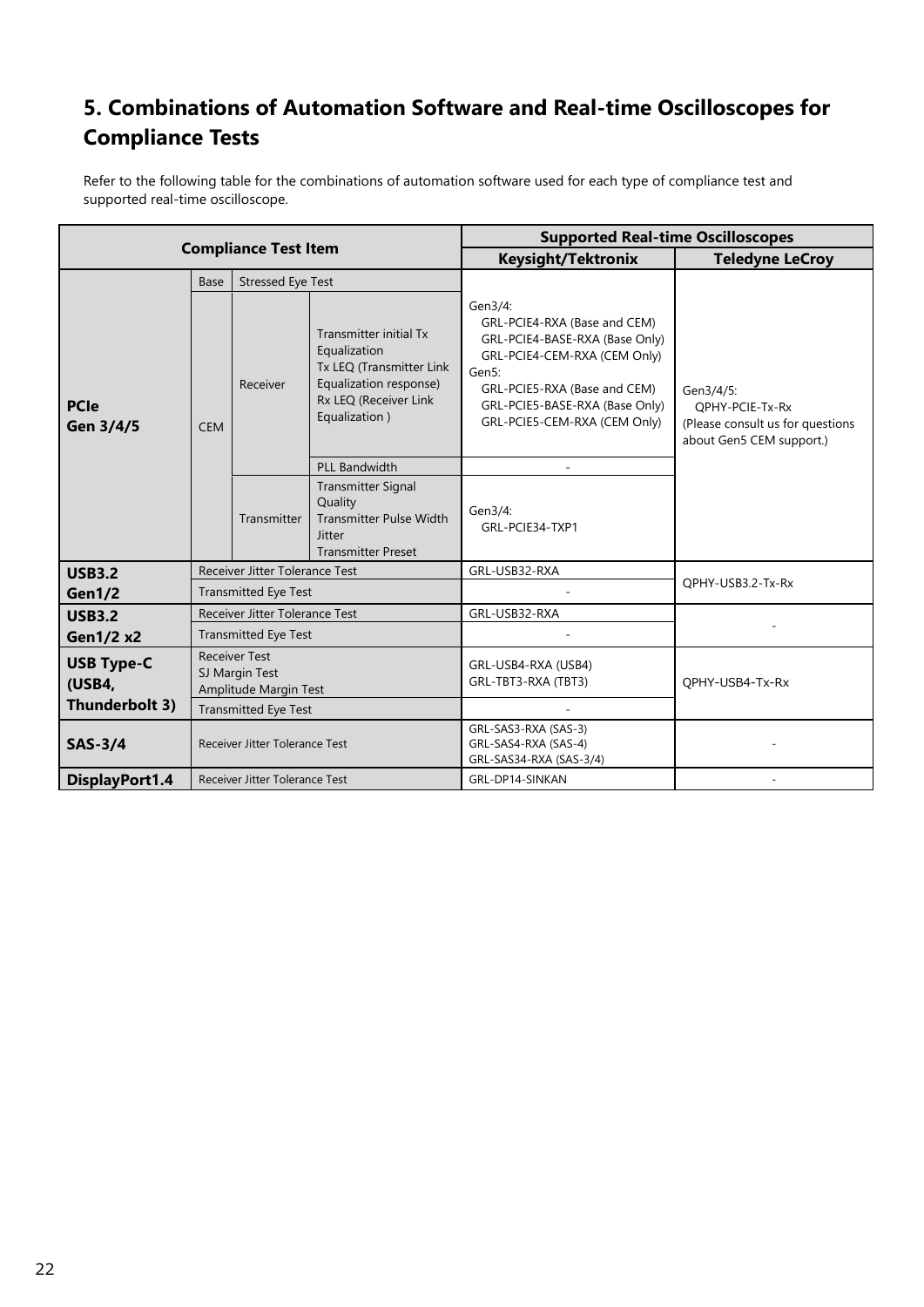# <span id="page-21-0"></span>**5. Combinations of Automation Software and Real-time Oscilloscopes for Compliance Tests**

Refer to the following table for the combinations of automation software used for each type of compliance test and supported real-time oscilloscope.

| <b>Compliance Test Item</b>                      |                                         |                                                                         |                                                                                                                                        | <b>Supported Real-time Oscilloscopes</b>                                                                                                                                                                             |                                                                                              |  |  |
|--------------------------------------------------|-----------------------------------------|-------------------------------------------------------------------------|----------------------------------------------------------------------------------------------------------------------------------------|----------------------------------------------------------------------------------------------------------------------------------------------------------------------------------------------------------------------|----------------------------------------------------------------------------------------------|--|--|
|                                                  |                                         |                                                                         |                                                                                                                                        | <b>Keysight/Tektronix</b>                                                                                                                                                                                            | <b>Teledyne LeCroy</b>                                                                       |  |  |
|                                                  | <b>Stressed Eye Test</b><br><b>Base</b> |                                                                         |                                                                                                                                        |                                                                                                                                                                                                                      |                                                                                              |  |  |
| <b>PCIe</b><br>Gen 3/4/5                         | <b>CEM</b>                              | Receiver                                                                | Transmitter initial Tx<br>Equalization<br>Tx LEQ (Transmitter Link<br>Equalization response)<br>Rx LEQ (Receiver Link<br>Equalization) | Gen3/4:<br>GRL-PCIE4-RXA (Base and CEM)<br>GRL-PCIE4-BASE-RXA (Base Only)<br>GRL-PCIE4-CEM-RXA (CEM Only)<br>Gen5:<br>GRL-PCIE5-RXA (Base and CEM)<br>GRL-PCIE5-BASE-RXA (Base Only)<br>GRL-PCIE5-CEM-RXA (CEM Only) | Gen3/4/5:<br>OPHY-PCIE-Tx-Rx<br>(Please consult us for questions<br>about Gen5 CEM support.) |  |  |
|                                                  |                                         |                                                                         | <b>PLL Bandwidth</b>                                                                                                                   |                                                                                                                                                                                                                      |                                                                                              |  |  |
|                                                  | Transmitter                             |                                                                         | <b>Transmitter Signal</b><br>Quality<br><b>Transmitter Pulse Width</b><br><b>Jitter</b><br><b>Transmitter Preset</b>                   | Gen3/4:<br>GRL-PCIE34-TXP1                                                                                                                                                                                           |                                                                                              |  |  |
| <b>USB3.2</b>                                    |                                         | Receiver Jitter Tolerance Test                                          |                                                                                                                                        | GRL-USB32-RXA                                                                                                                                                                                                        |                                                                                              |  |  |
| Gen1/2                                           |                                         | <b>Transmitted Eye Test</b>                                             |                                                                                                                                        |                                                                                                                                                                                                                      | QPHY-USB3.2-Tx-Rx                                                                            |  |  |
| <b>USB3.2</b>                                    |                                         | Receiver Jitter Tolerance Test                                          |                                                                                                                                        | GRL-USB32-RXA                                                                                                                                                                                                        |                                                                                              |  |  |
| <b>Gen1/2 x2</b>                                 |                                         | <b>Transmitted Eye Test</b>                                             |                                                                                                                                        |                                                                                                                                                                                                                      |                                                                                              |  |  |
| <b>USB Type-C</b><br>(USB4,                      |                                         | <b>Receiver Test</b><br>SJ Margin Test<br>Amplitude Margin Test         |                                                                                                                                        | GRL-USB4-RXA (USB4)<br>GRL-TBT3-RXA (TBT3)<br>OPHY-USB4-Tx-Rx                                                                                                                                                        |                                                                                              |  |  |
| Thunderbolt 3)                                   |                                         | <b>Transmitted Eye Test</b>                                             |                                                                                                                                        |                                                                                                                                                                                                                      |                                                                                              |  |  |
| $SAS-3/4$<br>Receiver Jitter Tolerance Test      |                                         | GRL-SAS3-RXA (SAS-3)<br>GRL-SAS4-RXA (SAS-4)<br>GRL-SAS34-RXA (SAS-3/4) |                                                                                                                                        |                                                                                                                                                                                                                      |                                                                                              |  |  |
| DisplayPort1.4<br>Receiver Jitter Tolerance Test |                                         | GRL-DP14-SINKAN                                                         |                                                                                                                                        |                                                                                                                                                                                                                      |                                                                                              |  |  |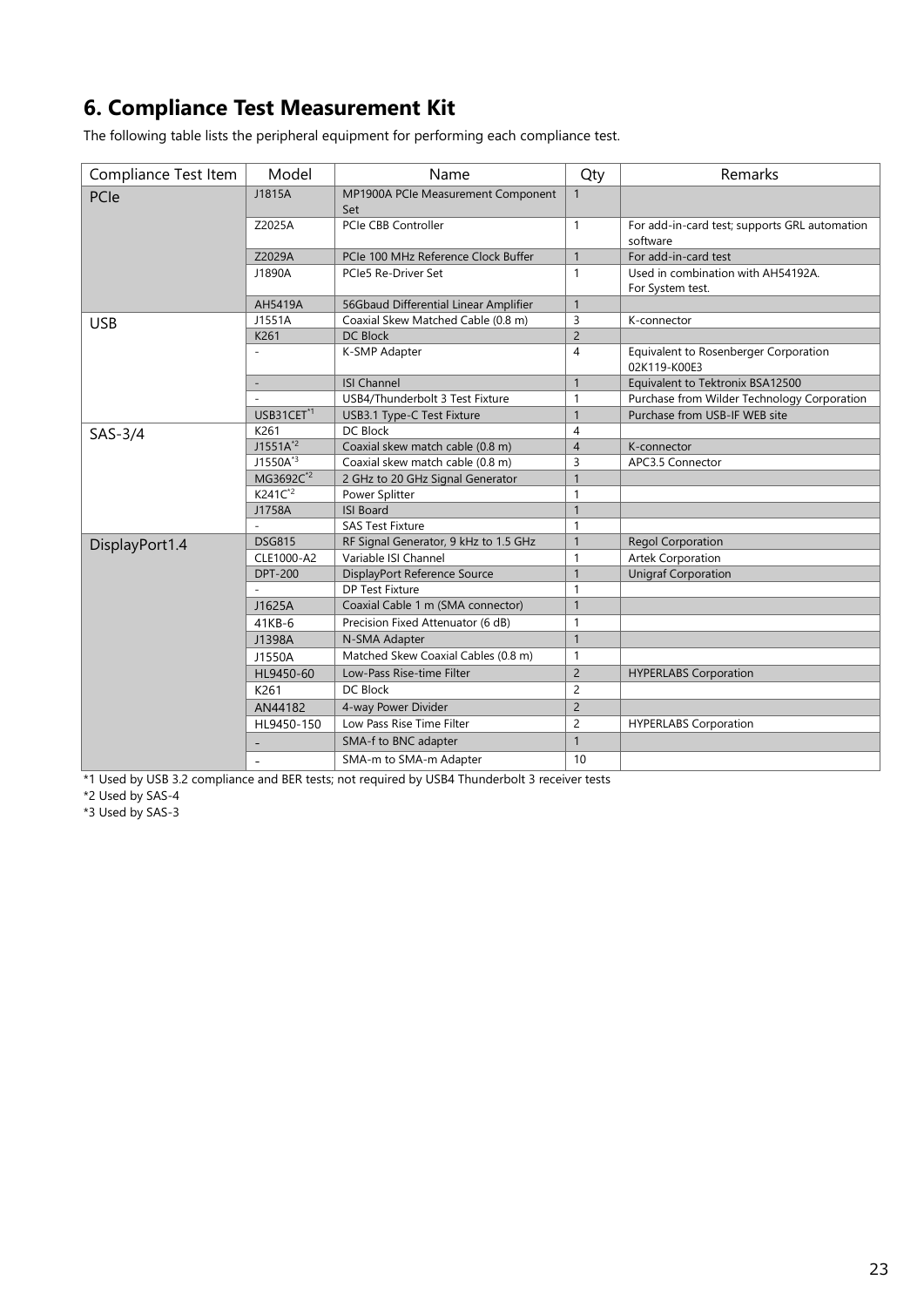# <span id="page-22-0"></span>**6. Compliance Test Measurement Kit**

The following table lists the peripheral equipment for performing each compliance test.

| Compliance Test Item | Model                    | Name                                      | Qty            | Remarks                                                   |
|----------------------|--------------------------|-------------------------------------------|----------------|-----------------------------------------------------------|
| PCIe                 | J1815A                   | MP1900A PCIe Measurement Component<br>Set | $\mathbf{1}$   |                                                           |
|                      | Z2025A                   | PCIe CBB Controller                       | $\mathbf{1}$   | For add-in-card test; supports GRL automation<br>software |
|                      | Z2029A                   | PCIe 100 MHz Reference Clock Buffer       | $\mathbf{1}$   | For add-in-card test                                      |
|                      | J1890A                   | PCIe5 Re-Driver Set                       | $\mathbf{1}$   | Used in combination with AH54192A.<br>For System test.    |
|                      | AH5419A                  | 56Gbaud Differential Linear Amplifier     | $\overline{1}$ |                                                           |
| <b>USB</b>           | J1551A                   | Coaxial Skew Matched Cable (0.8 m)        | 3              | K-connector                                               |
|                      | K261                     | <b>DC Block</b>                           | $\overline{2}$ |                                                           |
|                      |                          | K-SMP Adapter                             | $\overline{4}$ | Equivalent to Rosenberger Corporation<br>02K119-K00E3     |
|                      | $\overline{a}$           | <b>ISI Channel</b>                        | $\mathbf{1}$   | Equivalent to Tektronix BSA12500                          |
|                      |                          | USB4/Thunderbolt 3 Test Fixture           | $\mathbf{1}$   | Purchase from Wilder Technology Corporation               |
|                      | USB31CET <sup>*1</sup>   | USB3.1 Type-C Test Fixture                | $\mathbf{1}$   | Purchase from USB-IF WEB site                             |
| $SAS-3/4$            | K261                     | DC Block                                  | $\overline{4}$ |                                                           |
|                      | $J1551A^{2}$             | Coaxial skew match cable (0.8 m)          | $\overline{4}$ | K-connector                                               |
|                      | $J1550A^{3}$             | Coaxial skew match cable (0.8 m)          | 3              | APC3.5 Connector                                          |
|                      | MG3692C <sup>*2</sup>    | 2 GHz to 20 GHz Signal Generator          | $\mathbf{1}$   |                                                           |
|                      | $K241C^{2}$              | Power Splitter                            | $\mathbf{1}$   |                                                           |
|                      | J1758A                   | <b>ISI Board</b>                          | $\mathbf{1}$   |                                                           |
|                      |                          | <b>SAS Test Fixture</b>                   | $\mathbf{1}$   |                                                           |
| DisplayPort1.4       | <b>DSG815</b>            | RF Signal Generator, 9 kHz to 1.5 GHz     | $\mathbf{1}$   | <b>Regol Corporation</b>                                  |
|                      | CLE1000-A2               | Variable ISI Channel                      | $\mathbf{1}$   | <b>Artek Corporation</b>                                  |
|                      | <b>DPT-200</b>           | DisplayPort Reference Source              | $\overline{1}$ | <b>Unigraf Corporation</b>                                |
|                      |                          | <b>DP Test Fixture</b>                    | $\overline{1}$ |                                                           |
|                      | J1625A                   | Coaxial Cable 1 m (SMA connector)         | $\mathbf{1}$   |                                                           |
|                      | 41KB-6                   | Precision Fixed Attenuator (6 dB)         | $\mathbf{1}$   |                                                           |
|                      | J1398A                   | N-SMA Adapter                             | $\mathbf{1}$   |                                                           |
|                      | J1550A                   | Matched Skew Coaxial Cables (0.8 m)       | $\mathbf{1}$   |                                                           |
|                      | HL9450-60                | Low-Pass Rise-time Filter                 | $\overline{2}$ | <b>HYPERLABS Corporation</b>                              |
|                      | K261                     | DC Block                                  | $\overline{2}$ |                                                           |
|                      | AN44182                  | 4-way Power Divider                       | $\overline{2}$ |                                                           |
|                      | HL9450-150               | Low Pass Rise Time Filter                 | $\overline{c}$ | <b>HYPERLABS Corporation</b>                              |
|                      |                          | SMA-f to BNC adapter                      | $\mathbf{1}$   |                                                           |
|                      | $\overline{\phantom{0}}$ | SMA-m to SMA-m Adapter                    | 10             |                                                           |

\*1 Used by USB 3.2 compliance and BER tests; not required by USB4 Thunderbolt 3 receiver tests

\*2 Used by SAS-4

\*3 Used by SAS-3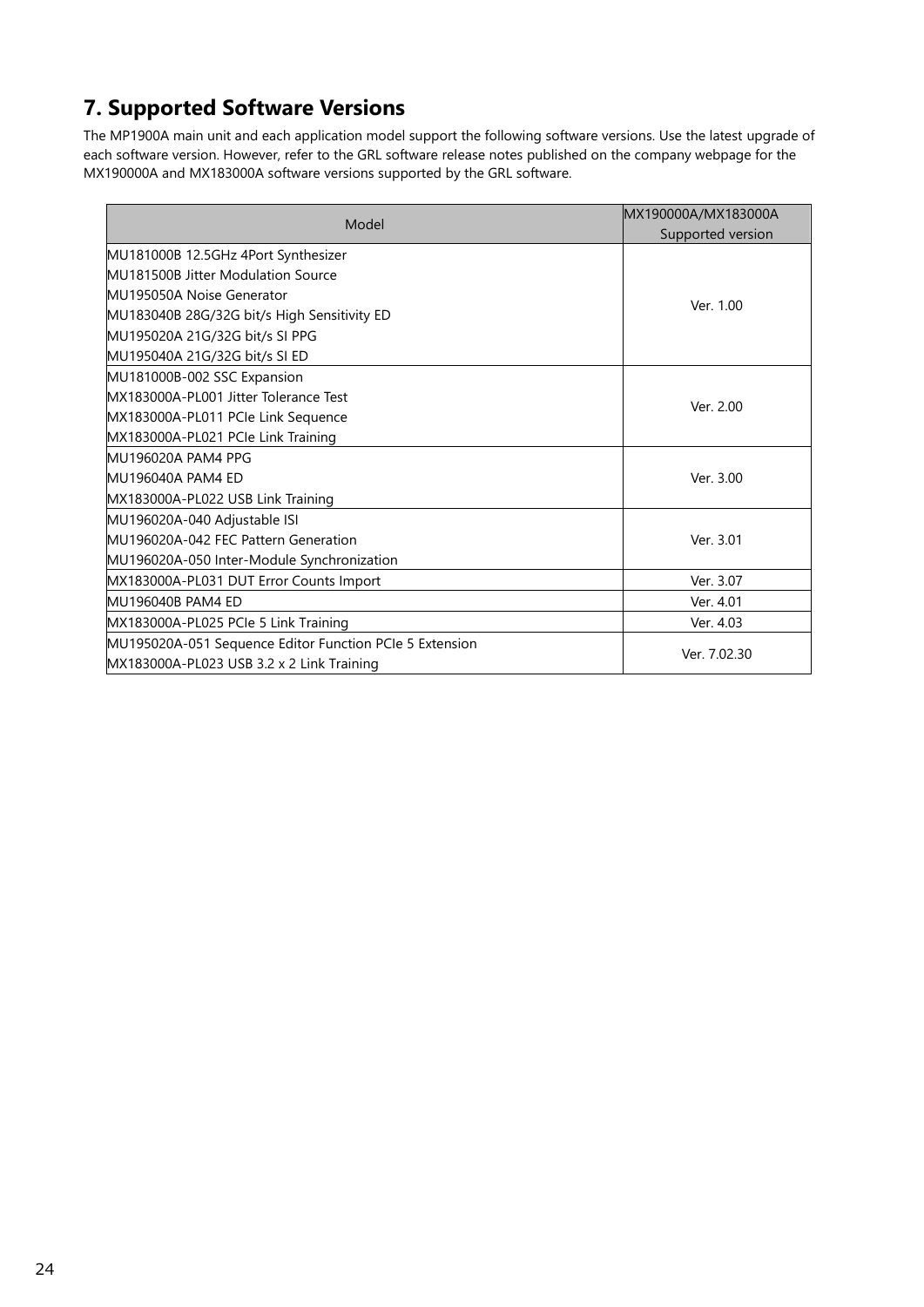# <span id="page-23-0"></span>**7. Supported Software Versions**

The MP1900A main unit and each application model support the following software versions. Use the latest upgrade of each software version. However, refer to the GRL software release notes published on the company webpage for the MX190000A and MX183000A software versions supported by the GRL software.

| Model                                                   | MX190000A/MX183000A<br>Supported version |
|---------------------------------------------------------|------------------------------------------|
| MU181000B 12.5GHz 4Port Synthesizer                     |                                          |
| MU181500B Jitter Modulation Source                      |                                          |
| <b>MU195050A Noise Generator</b>                        |                                          |
| MU183040B 28G/32G bit/s High Sensitivity ED             | Ver. 1.00                                |
| MU195020A 21G/32G bit/s SI PPG                          |                                          |
| MU195040A 21G/32G bit/s SI ED                           |                                          |
| MU181000B-002 SSC Expansion                             |                                          |
| MX183000A-PL001 Jitter Tolerance Test                   | Ver. 2.00                                |
| MX183000A-PL011 PCIe Link Sequence                      |                                          |
| MX183000A-PL021 PCle Link Training                      |                                          |
| MU196020A PAM4 PPG                                      |                                          |
| MU196040A PAM4 ED                                       | Ver. 3.00                                |
| MX183000A-PL022 USB Link Training                       |                                          |
| MU196020A-040 Adjustable ISI                            |                                          |
| MU196020A-042 FEC Pattern Generation                    | Ver. 3.01                                |
| MU196020A-050 Inter-Module Synchronization              |                                          |
| MX183000A-PL031 DUT Error Counts Import                 | Ver. 3.07                                |
| MU196040B PAM4 ED                                       | Ver. 4.01                                |
| MX183000A-PL025 PCle 5 Link Training                    | Ver. 4.03                                |
| MU195020A-051 Sequence Editor Function PCIe 5 Extension |                                          |
| MX183000A-PL023 USB 3.2 x 2 Link Training               | Ver. 7.02.30                             |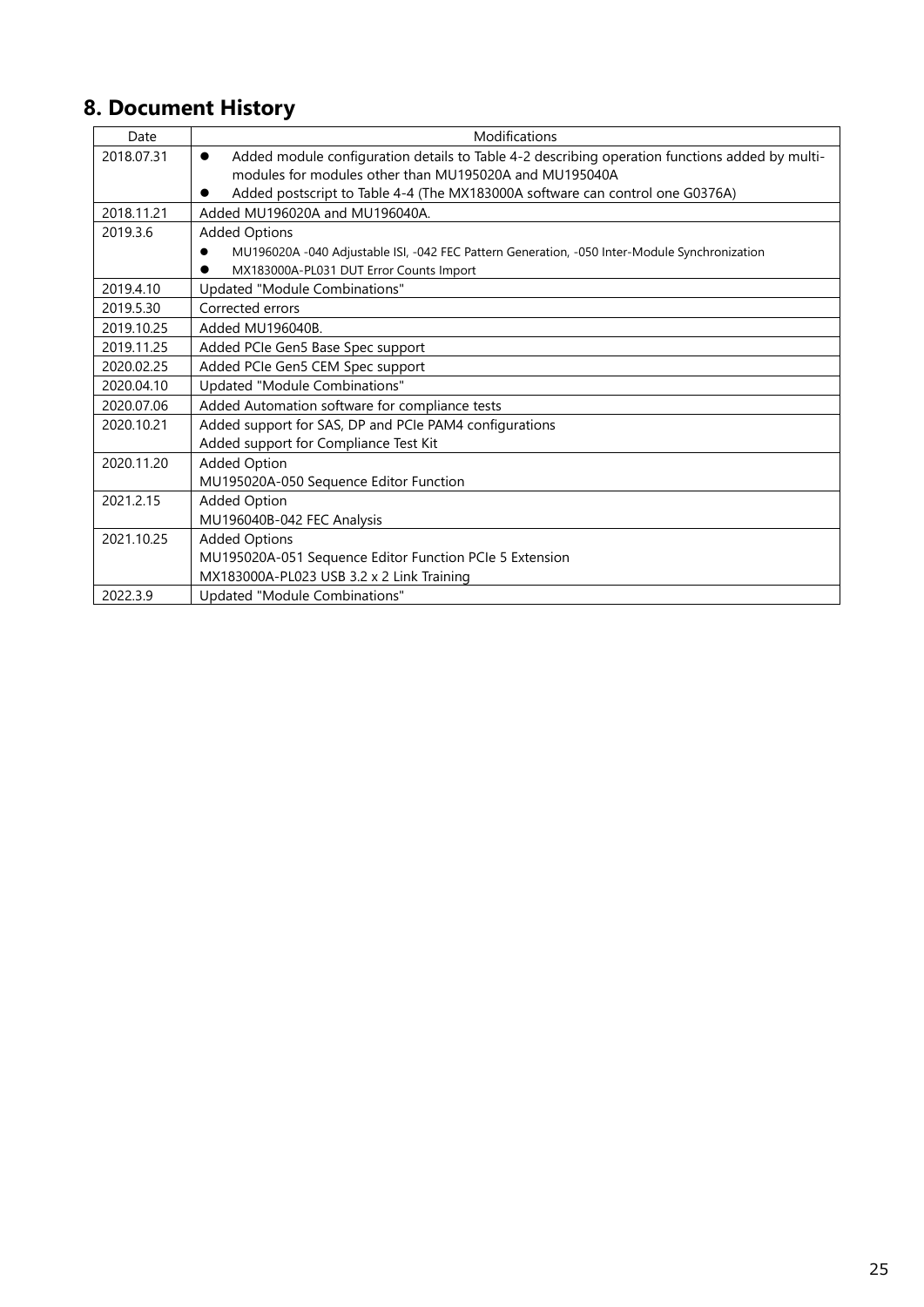# <span id="page-24-0"></span>**8. Document History**

| Date       | Modifications                                                                                               |
|------------|-------------------------------------------------------------------------------------------------------------|
| 2018.07.31 | Added module configuration details to Table 4-2 describing operation functions added by multi-<br>$\bullet$ |
|            | modules for modules other than MU195020A and MU195040A                                                      |
|            | Added postscript to Table 4-4 (The MX183000A software can control one G0376A)                               |
| 2018.11.21 | Added MU196020A and MU196040A.                                                                              |
| 2019.3.6   | <b>Added Options</b>                                                                                        |
|            | MU196020A -040 Adjustable ISI, -042 FEC Pattern Generation, -050 Inter-Module Synchronization               |
|            | MX183000A-PL031 DUT Error Counts Import                                                                     |
| 2019.4.10  | Updated "Module Combinations"                                                                               |
| 2019.5.30  | Corrected errors                                                                                            |
| 2019.10.25 | Added MU196040B.                                                                                            |
| 2019.11.25 | Added PCIe Gen5 Base Spec support                                                                           |
| 2020.02.25 | Added PCIe Gen5 CEM Spec support                                                                            |
| 2020.04.10 | Updated "Module Combinations"                                                                               |
| 2020.07.06 | Added Automation software for compliance tests                                                              |
| 2020.10.21 | Added support for SAS, DP and PCIe PAM4 configurations                                                      |
|            | Added support for Compliance Test Kit                                                                       |
| 2020.11.20 | <b>Added Option</b>                                                                                         |
|            | MU195020A-050 Sequence Editor Function                                                                      |
| 2021.2.15  | <b>Added Option</b>                                                                                         |
|            | MU196040B-042 FEC Analysis                                                                                  |
| 2021.10.25 | <b>Added Options</b>                                                                                        |
|            | MU195020A-051 Sequence Editor Function PCIe 5 Extension                                                     |
|            | MX183000A-PL023 USB 3.2 x 2 Link Training                                                                   |
| 2022.3.9   | Updated "Module Combinations"                                                                               |